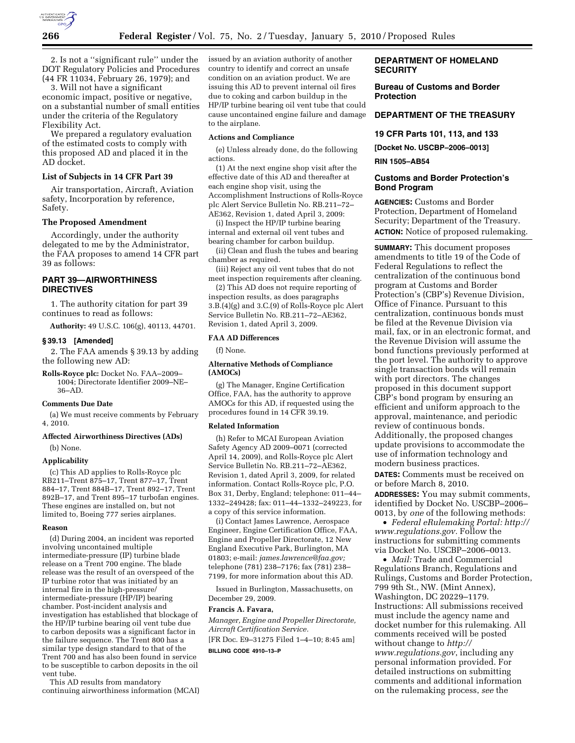

2. Is not a ''significant rule'' under the DOT Regulatory Policies and Procedures (44 FR 11034, February 26, 1979); and

3. Will not have a significant economic impact, positive or negative, on a substantial number of small entities under the criteria of the Regulatory Flexibility Act.

We prepared a regulatory evaluation of the estimated costs to comply with this proposed AD and placed it in the AD docket.

# **List of Subjects in 14 CFR Part 39**

Air transportation, Aircraft, Aviation safety, Incorporation by reference, Safety.

### **The Proposed Amendment**

Accordingly, under the authority delegated to me by the Administrator, the FAA proposes to amend 14 CFR part 39 as follows:

# **PART 39—AIRWORTHINESS DIRECTIVES**

1. The authority citation for part 39 continues to read as follows:

**Authority:** 49 U.S.C. 106(g), 40113, 44701.

#### **§ 39.13 [Amended]**

2. The FAA amends § 39.13 by adding the following new AD:

**Rolls-Royce plc:** Docket No. FAA–2009– 1004; Directorate Identifier 2009–NE– 36–AD.

### **Comments Due Date**

(a) We must receive comments by February 4, 2010.

# **Affected Airworthiness Directives (ADs)**  (b) None.

#### **Applicability**

(c) This AD applies to Rolls-Royce plc RB211–Trent 875–17, Trent 877–17, Trent 884–17, Trent 884B–17, Trent 892–17, Trent 892B–17, and Trent 895–17 turbofan engines. These engines are installed on, but not limited to, Boeing 777 series airplanes.

#### **Reason**

(d) During 2004, an incident was reported involving uncontained multiple intermediate-pressure (IP) turbine blade release on a Trent 700 engine. The blade release was the result of an overspeed of the IP turbine rotor that was initiated by an internal fire in the high-pressure/ intermediate-pressure (HP/IP) bearing chamber. Post-incident analysis and investigation has established that blockage of the HP/IP turbine bearing oil vent tube due to carbon deposits was a significant factor in the failure sequence. The Trent 800 has a similar type design standard to that of the Trent 700 and has also been found in service to be susceptible to carbon deposits in the oil vent tube.

This AD results from mandatory continuing airworthiness information (MCAI)

issued by an aviation authority of another country to identify and correct an unsafe condition on an aviation product. We are issuing this AD to prevent internal oil fires due to coking and carbon buildup in the HP/IP turbine bearing oil vent tube that could cause uncontained engine failure and damage to the airplane.

# **Actions and Compliance**

(e) Unless already done, do the following actions.

(1) At the next engine shop visit after the effective date of this AD and thereafter at each engine shop visit, using the Accomplishment Instructions of Rolls-Royce plc Alert Service Bulletin No. RB.211–72– AE362, Revision 1, dated April 3, 2009:

(i) Inspect the HP/IP turbine bearing internal and external oil vent tubes and bearing chamber for carbon buildup.

(ii) Clean and flush the tubes and bearing chamber as required.

(iii) Reject any oil vent tubes that do not meet inspection requirements after cleaning.

(2) This AD does not require reporting of inspection results, as does paragraphs 3.B.(4)(g) and 3.C.(9) of Rolls-Royce plc Alert Service Bulletin No. RB.211–72–AE362, Revision 1, dated April 3, 2009.

#### **FAA AD Differences**

(f) None.

#### **Alternative Methods of Compliance (AMOCs)**

(g) The Manager, Engine Certification Office, FAA, has the authority to approve AMOCs for this AD, if requested using the procedures found in 14 CFR 39.19.

### **Related Information**

(h) Refer to MCAI European Aviation Safety Agency AD 2009–0071 (corrected April 14, 2009), and Rolls-Royce plc Alert Service Bulletin No. RB.211–72–AE362, Revision 1, dated April 3, 2009, for related information. Contact Rolls-Royce plc, P.O. Box 31, Derby, England; telephone: 011–44– 1332–249428; fax: 011–44–1332–249223, for a copy of this service information.

(i) Contact James Lawrence, Aerospace Engineer, Engine Certification Office, FAA, Engine and Propeller Directorate, 12 New England Executive Park, Burlington, MA 01803; e-mail: *james.lawrence@faa.gov;*  telephone (781) 238–7176; fax (781) 238– 7199, for more information about this AD.

Issued in Burlington, Massachusetts, on December 29, 2009.

#### **Francis A. Favara,**

*Manager, Engine and Propeller Directorate, Aircraft Certification Service.* 

[FR Doc. E9–31275 Filed 1–4–10; 8:45 am]

### **BILLING CODE 4910–13–P**

# **DEPARTMENT OF HOMELAND SECURITY**

**Bureau of Customs and Border Protection** 

# **DEPARTMENT OF THE TREASURY**

### **19 CFR Parts 101, 113, and 133**

**[Docket No. USCBP–2006–0013]** 

# **RIN 1505–AB54**

# **Customs and Border Protection's Bond Program**

**AGENCIES:** Customs and Border Protection, Department of Homeland Security; Department of the Treasury. **ACTION:** Notice of proposed rulemaking.

**SUMMARY:** This document proposes amendments to title 19 of the Code of Federal Regulations to reflect the centralization of the continuous bond program at Customs and Border Protection's (CBP's) Revenue Division, Office of Finance. Pursuant to this centralization, continuous bonds must be filed at the Revenue Division via mail, fax, or in an electronic format, and the Revenue Division will assume the bond functions previously performed at the port level. The authority to approve single transaction bonds will remain with port directors. The changes proposed in this document support CBP's bond program by ensuring an efficient and uniform approach to the approval, maintenance, and periodic review of continuous bonds. Additionally, the proposed changes update provisions to accommodate the use of information technology and modern business practices.

**DATES:** Comments must be received on or before March 8, 2010.

**ADDRESSES:** You may submit comments, identified by Docket No. USCBP–2006– 0013, by *one* of the following methods:

• *Federal eRulemaking Portal: http:// www.regulations.gov.* Follow the instructions for submitting comments via Docket No. USCBP–2006–0013.

• *Mail:* Trade and Commercial Regulations Branch, Regulations and Rulings, Customs and Border Protection, 799 9th St., NW. (Mint Annex), Washington, DC 20229–1179. Instructions: All submissions received must include the agency name and docket number for this rulemaking. All comments received will be posted without change to *http:// www.regulations.gov*, including any personal information provided. For detailed instructions on submitting comments and additional information on the rulemaking process, *see* the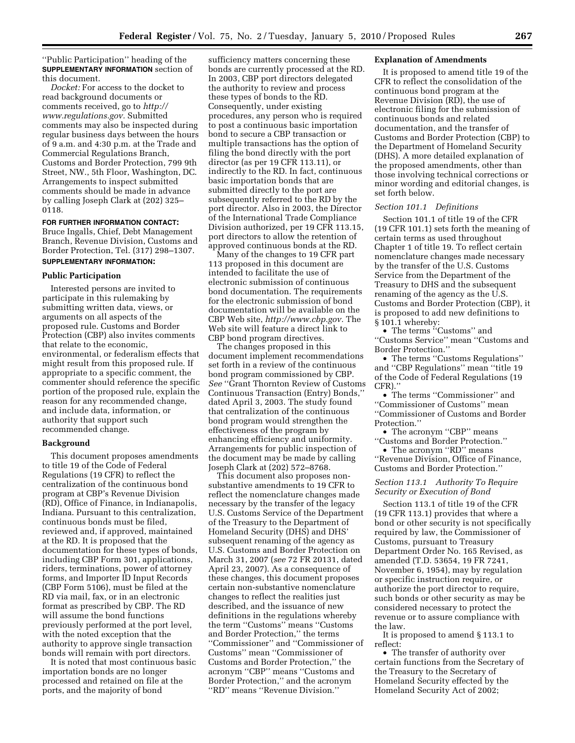''Public Participation'' heading of the **SUPPLEMENTARY INFORMATION** section of this document.

*Docket:* For access to the docket to read background documents or comments received, go to *http:// www.regulations.gov.* Submitted comments may also be inspected during regular business days between the hours of 9 a.m. and 4:30 p.m. at the Trade and Commercial Regulations Branch, Customs and Border Protection, 799 9th Street, NW., 5th Floor, Washington, DC. Arrangements to inspect submitted comments should be made in advance by calling Joseph Clark at (202) 325– 0118.

# **FOR FURTHER INFORMATION CONTACT:**

Bruce Ingalls, Chief, Debt Management Branch, Revenue Division, Customs and Border Protection, Tel. (317) 298–1307. **SUPPLEMENTARY INFORMATION:** 

# **Public Participation**

Interested persons are invited to participate in this rulemaking by submitting written data, views, or arguments on all aspects of the proposed rule. Customs and Border Protection (CBP) also invites comments that relate to the economic, environmental, or federalism effects that might result from this proposed rule. If appropriate to a specific comment, the commenter should reference the specific portion of the proposed rule, explain the reason for any recommended change, and include data, information, or authority that support such recommended change.

### **Background**

This document proposes amendments to title 19 of the Code of Federal Regulations (19 CFR) to reflect the centralization of the continuous bond program at CBP's Revenue Division (RD), Office of Finance, in Indianapolis, Indiana. Pursuant to this centralization, continuous bonds must be filed, reviewed and, if approved, maintained at the RD. It is proposed that the documentation for these types of bonds, including CBP Form 301, applications, riders, terminations, power of attorney forms, and Importer ID Input Records (CBP Form 5106), must be filed at the RD via mail, fax, or in an electronic format as prescribed by CBP. The RD will assume the bond functions previously performed at the port level, with the noted exception that the authority to approve single transaction bonds will remain with port directors.

It is noted that most continuous basic importation bonds are no longer processed and retained on file at the ports, and the majority of bond

sufficiency matters concerning these bonds are currently processed at the RD. In 2003, CBP port directors delegated the authority to review and process these types of bonds to the RD. Consequently, under existing procedures, any person who is required to post a continuous basic importation bond to secure a CBP transaction or multiple transactions has the option of filing the bond directly with the port director (as per 19 CFR 113.11), or indirectly to the RD. In fact, continuous basic importation bonds that are submitted directly to the port are subsequently referred to the RD by the port director. Also in 2003, the Director of the International Trade Compliance Division authorized, per 19 CFR 113.15, port directors to allow the retention of approved continuous bonds at the RD.

Many of the changes to 19 CFR part 113 proposed in this document are intended to facilitate the use of electronic submission of continuous bond documentation. The requirements for the electronic submission of bond documentation will be available on the CBP Web site, *http://www.cbp.gov.* The Web site will feature a direct link to CBP bond program directives.

The changes proposed in this document implement recommendations set forth in a review of the continuous bond program commissioned by CBP. *See* ''Grant Thornton Review of Customs Continuous Transaction (Entry) Bonds,'' dated April 3, 2003. The study found that centralization of the continuous bond program would strengthen the effectiveness of the program by enhancing efficiency and uniformity. Arrangements for public inspection of the document may be made by calling Joseph Clark at (202) 572–8768.

This document also proposes nonsubstantive amendments to 19 CFR to reflect the nomenclature changes made necessary by the transfer of the legacy U.S. Customs Service of the Department of the Treasury to the Department of Homeland Security (DHS) and DHS' subsequent renaming of the agency as U.S. Customs and Border Protection on March 31, 2007 (*see* 72 FR 20131, dated April 23, 2007). As a consequence of these changes, this document proposes certain non-substantive nomenclature changes to reflect the realities just described, and the issuance of new definitions in the regulations whereby the term ''Customs'' means ''Customs and Border Protection,'' the terms ''Commissioner'' and ''Commissioner of Customs'' mean ''Commissioner of Customs and Border Protection,'' the acronym ''CBP'' means ''Customs and Border Protection,'' and the acronym ''RD'' means ''Revenue Division.''

### **Explanation of Amendments**

It is proposed to amend title 19 of the CFR to reflect the consolidation of the continuous bond program at the Revenue Division (RD), the use of electronic filing for the submission of continuous bonds and related documentation, and the transfer of Customs and Border Protection (CBP) to the Department of Homeland Security (DHS). A more detailed explanation of the proposed amendments, other than those involving technical corrections or minor wording and editorial changes, is set forth below.

# *Section 101.1 Definitions*

Section 101.1 of title 19 of the CFR (19 CFR 101.1) sets forth the meaning of certain terms as used throughout Chapter 1 of title 19. To reflect certain nomenclature changes made necessary by the transfer of the U.S. Customs Service from the Department of the Treasury to DHS and the subsequent renaming of the agency as the U.S. Customs and Border Protection (CBP), it is proposed to add new definitions to § 101.1 whereby:

• The terms ''Customs'' and ''Customs Service'' mean ''Customs and Border Protection.''

• The terms "Customs Regulations" and ''CBP Regulations'' mean ''title 19 of the Code of Federal Regulations (19 CFR).''

• The terms "Commissioner" and ''Commissioner of Customs'' mean ''Commissioner of Customs and Border Protection.''

• The acronym ''CBP'' means ''Customs and Border Protection.''

• The acronym ''RD'' means ''Revenue Division, Office of Finance, Customs and Border Protection.''

# *Section 113.1 Authority To Require Security or Execution of Bond*

Section 113.1 of title 19 of the CFR (19 CFR 113.1) provides that where a bond or other security is not specifically required by law, the Commissioner of Customs, pursuant to Treasury Department Order No. 165 Revised, as amended (T.D. 53654, 19 FR 7241, November 6, 1954), may by regulation or specific instruction require, or authorize the port director to require, such bonds or other security as may be considered necessary to protect the revenue or to assure compliance with the law.

It is proposed to amend § 113.1 to reflect:

• The transfer of authority over certain functions from the Secretary of the Treasury to the Secretary of Homeland Security effected by the Homeland Security Act of 2002;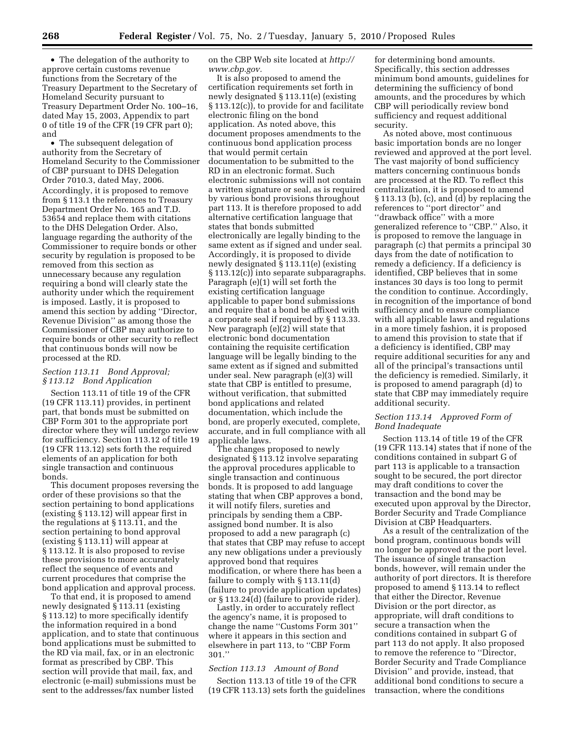• The delegation of the authority to approve certain customs revenue functions from the Secretary of the Treasury Department to the Secretary of Homeland Security pursuant to Treasury Department Order No. 100–16, dated May 15, 2003, Appendix to part 0 of title 19 of the CFR (19 CFR part 0); and

• The subsequent delegation of authority from the Secretary of Homeland Security to the Commissioner of CBP pursuant to DHS Delegation Order 7010.3, dated May, 2006. Accordingly, it is proposed to remove from § 113.1 the references to Treasury Department Order No. 165 and T.D. 53654 and replace them with citations to the DHS Delegation Order. Also, language regarding the authority of the Commissioner to require bonds or other security by regulation is proposed to be removed from this section as unnecessary because any regulation requiring a bond will clearly state the authority under which the requirement is imposed. Lastly, it is proposed to amend this section by adding ''Director, Revenue Division'' as among those the Commissioner of CBP may authorize to require bonds or other security to reflect that continuous bonds will now be processed at the RD.

# *Section 113.11 Bond Approval; § 113.12 Bond Application*

Section 113.11 of title 19 of the CFR (19 CFR 113.11) provides, in pertinent part, that bonds must be submitted on CBP Form 301 to the appropriate port director where they will undergo review for sufficiency. Section 113.12 of title 19 (19 CFR 113.12) sets forth the required elements of an application for both single transaction and continuous bonds.

This document proposes reversing the order of these provisions so that the section pertaining to bond applications (existing § 113.12) will appear first in the regulations at § 113.11, and the section pertaining to bond approval (existing § 113.11) will appear at § 113.12. It is also proposed to revise these provisions to more accurately reflect the sequence of events and current procedures that comprise the bond application and approval process.

To that end, it is proposed to amend newly designated § 113.11 (existing § 113.12) to more specifically identify the information required in a bond application, and to state that continuous bond applications must be submitted to the RD via mail, fax, or in an electronic format as prescribed by CBP. This section will provide that mail, fax, and electronic (e-mail) submissions must be sent to the addresses/fax number listed

on the CBP Web site located at *http:// www.cbp.gov.* 

It is also proposed to amend the certification requirements set forth in newly designated § 113.11(e) (existing § 113.12(c)), to provide for and facilitate electronic filing on the bond application. As noted above, this document proposes amendments to the continuous bond application process that would permit certain documentation to be submitted to the RD in an electronic format. Such electronic submissions will not contain a written signature or seal, as is required by various bond provisions throughout part 113. It is therefore proposed to add alternative certification language that states that bonds submitted electronically are legally binding to the same extent as if signed and under seal. Accordingly, it is proposed to divide newly designated § 113.11(e) (existing § 113.12(c)) into separate subparagraphs. Paragraph (e)(1) will set forth the existing certification language applicable to paper bond submissions and require that a bond be affixed with a corporate seal if required by § 113.33. New paragraph (e)(2) will state that electronic bond documentation containing the requisite certification language will be legally binding to the same extent as if signed and submitted under seal. New paragraph (e)(3) will state that CBP is entitled to presume, without verification, that submitted bond applications and related documentation, which include the bond, are properly executed, complete, accurate, and in full compliance with all applicable laws.

The changes proposed to newly designated § 113.12 involve separating the approval procedures applicable to single transaction and continuous bonds. It is proposed to add language stating that when CBP approves a bond, it will notify filers, sureties and principals by sending them a CBPassigned bond number. It is also proposed to add a new paragraph (c) that states that CBP may refuse to accept any new obligations under a previously approved bond that requires modification, or where there has been a failure to comply with § 113.11(d) (failure to provide application updates) or § 113.24(d) (failure to provide rider).

Lastly, in order to accurately reflect the agency's name, it is proposed to change the name ''Customs Form 301'' where it appears in this section and elsewhere in part 113, to ''CBP Form 301.''

# *Section 113.13 Amount of Bond*

Section 113.13 of title 19 of the CFR (19 CFR 113.13) sets forth the guidelines

for determining bond amounts. Specifically, this section addresses minimum bond amounts, guidelines for determining the sufficiency of bond amounts, and the procedures by which CBP will periodically review bond sufficiency and request additional security.

As noted above, most continuous basic importation bonds are no longer reviewed and approved at the port level. The vast majority of bond sufficiency matters concerning continuous bonds are processed at the RD. To reflect this centralization, it is proposed to amend § 113.13 (b), (c), and (d) by replacing the references to ''port director'' and ''drawback office'' with a more generalized reference to ''CBP.'' Also, it is proposed to remove the language in paragraph (c) that permits a principal 30 days from the date of notification to remedy a deficiency. If a deficiency is identified, CBP believes that in some instances 30 days is too long to permit the condition to continue. Accordingly, in recognition of the importance of bond sufficiency and to ensure compliance with all applicable laws and regulations in a more timely fashion, it is proposed to amend this provision to state that if a deficiency is identified, CBP may require additional securities for any and all of the principal's transactions until the deficiency is remedied. Similarly, it is proposed to amend paragraph (d) to state that CBP may immediately require additional security.

# *Section 113.14 Approved Form of Bond Inadequate*

Section 113.14 of title 19 of the CFR (19 CFR 113.14) states that if none of the conditions contained in subpart G of part 113 is applicable to a transaction sought to be secured, the port director may draft conditions to cover the transaction and the bond may be executed upon approval by the Director, Border Security and Trade Compliance Division at CBP Headquarters.

As a result of the centralization of the bond program, continuous bonds will no longer be approved at the port level. The issuance of single transaction bonds, however, will remain under the authority of port directors. It is therefore proposed to amend § 113.14 to reflect that either the Director, Revenue Division or the port director, as appropriate, will draft conditions to secure a transaction when the conditions contained in subpart G of part 113 do not apply. It also proposed to remove the reference to ''Director, Border Security and Trade Compliance Division'' and provide, instead, that additional bond conditions to secure a transaction, where the conditions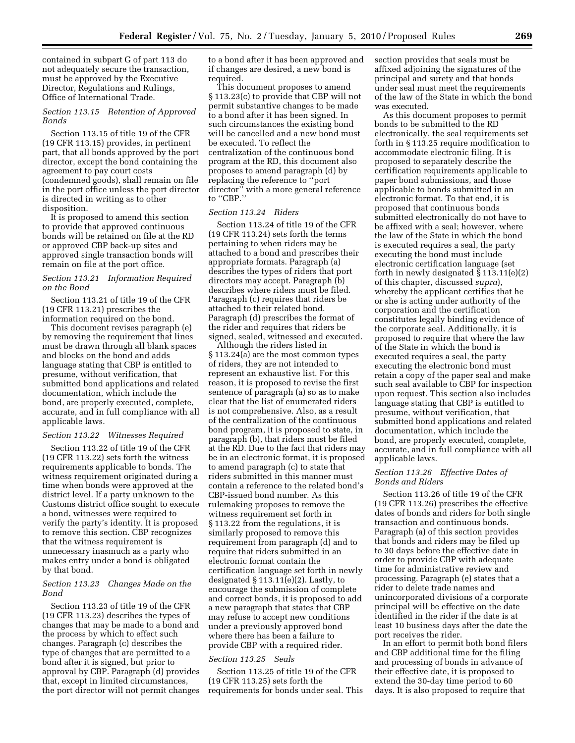contained in subpart G of part 113 do not adequately secure the transaction, must be approved by the Executive Director, Regulations and Rulings, Office of International Trade.

# *Section 113.15 Retention of Approved Bonds*

Section 113.15 of title 19 of the CFR (19 CFR 113.15) provides, in pertinent part, that all bonds approved by the port director, except the bond containing the agreement to pay court costs (condemned goods), shall remain on file in the port office unless the port director is directed in writing as to other disposition.

It is proposed to amend this section to provide that approved continuous bonds will be retained on file at the RD or approved CBP back-up sites and approved single transaction bonds will remain on file at the port office.

# *Section 113.21 Information Required on the Bond*

Section 113.21 of title 19 of the CFR (19 CFR 113.21) prescribes the information required on the bond.

This document revises paragraph (e) by removing the requirement that lines must be drawn through all blank spaces and blocks on the bond and adds language stating that CBP is entitled to presume, without verification, that submitted bond applications and related documentation, which include the bond, are properly executed, complete, accurate, and in full compliance with all applicable laws.

# *Section 113.22 Witnesses Required*

Section 113.22 of title 19 of the CFR (19 CFR 113.22) sets forth the witness requirements applicable to bonds. The witness requirement originated during a time when bonds were approved at the district level. If a party unknown to the Customs district office sought to execute a bond, witnesses were required to verify the party's identity. It is proposed to remove this section. CBP recognizes that the witness requirement is unnecessary inasmuch as a party who makes entry under a bond is obligated by that bond.

# *Section 113.23 Changes Made on the Bond*

Section 113.23 of title 19 of the CFR (19 CFR 113.23) describes the types of changes that may be made to a bond and the process by which to effect such changes. Paragraph (c) describes the type of changes that are permitted to a bond after it is signed, but prior to approval by CBP. Paragraph (d) provides that, except in limited circumstances, the port director will not permit changes to a bond after it has been approved and if changes are desired, a new bond is required.

This document proposes to amend § 113.23(c) to provide that CBP will not permit substantive changes to be made to a bond after it has been signed. In such circumstances the existing bond will be cancelled and a new bond must be executed. To reflect the centralization of the continuous bond program at the RD, this document also proposes to amend paragraph (d) by replacing the reference to ''port director'' with a more general reference to ''CBP.''

# *Section 113.24 Riders*

Section 113.24 of title 19 of the CFR (19 CFR 113.24) sets forth the terms pertaining to when riders may be attached to a bond and prescribes their appropriate formats. Paragraph (a) describes the types of riders that port directors may accept. Paragraph (b) describes where riders must be filed. Paragraph (c) requires that riders be attached to their related bond. Paragraph (d) prescribes the format of the rider and requires that riders be signed, sealed, witnessed and executed.

Although the riders listed in § 113.24(a) are the most common types of riders, they are not intended to represent an exhaustive list. For this reason, it is proposed to revise the first sentence of paragraph (a) so as to make clear that the list of enumerated riders is not comprehensive. Also, as a result of the centralization of the continuous bond program, it is proposed to state, in paragraph (b), that riders must be filed at the RD. Due to the fact that riders may be in an electronic format, it is proposed to amend paragraph (c) to state that riders submitted in this manner must contain a reference to the related bond's CBP-issued bond number. As this rulemaking proposes to remove the witness requirement set forth in § 113.22 from the regulations, it is similarly proposed to remove this requirement from paragraph (d) and to require that riders submitted in an electronic format contain the certification language set forth in newly designated § 113.11(e)(2). Lastly, to encourage the submission of complete and correct bonds, it is proposed to add a new paragraph that states that CBP may refuse to accept new conditions under a previously approved bond where there has been a failure to provide CBP with a required rider.

# *Section 113.25 Seals*

Section 113.25 of title 19 of the CFR (19 CFR 113.25) sets forth the requirements for bonds under seal. This section provides that seals must be affixed adjoining the signatures of the principal and surety and that bonds under seal must meet the requirements of the law of the State in which the bond was executed.

As this document proposes to permit bonds to be submitted to the RD electronically, the seal requirements set forth in § 113.25 require modification to accommodate electronic filing. It is proposed to separately describe the certification requirements applicable to paper bond submissions, and those applicable to bonds submitted in an electronic format. To that end, it is proposed that continuous bonds submitted electronically do not have to be affixed with a seal; however, where the law of the State in which the bond is executed requires a seal, the party executing the bond must include electronic certification language (set forth in newly designated § 113.11(e)(2) of this chapter, discussed *supra*), whereby the applicant certifies that he or she is acting under authority of the corporation and the certification constitutes legally binding evidence of the corporate seal. Additionally, it is proposed to require that where the law of the State in which the bond is executed requires a seal, the party executing the electronic bond must retain a copy of the paper seal and make such seal available to CBP for inspection upon request. This section also includes language stating that CBP is entitled to presume, without verification, that submitted bond applications and related documentation, which include the bond, are properly executed, complete, accurate, and in full compliance with all applicable laws.

# *Section 113.26 Effective Dates of Bonds and Riders*

Section 113.26 of title 19 of the CFR (19 CFR 113.26) prescribes the effective dates of bonds and riders for both single transaction and continuous bonds. Paragraph (a) of this section provides that bonds and riders may be filed up to 30 days before the effective date in order to provide CBP with adequate time for administrative review and processing. Paragraph (e) states that a rider to delete trade names and unincorporated divisions of a corporate principal will be effective on the date identified in the rider if the date is at least 10 business days after the date the port receives the rider.

In an effort to permit both bond filers and CBP additional time for the filing and processing of bonds in advance of their effective date, it is proposed to extend the 30-day time period to 60 days. It is also proposed to require that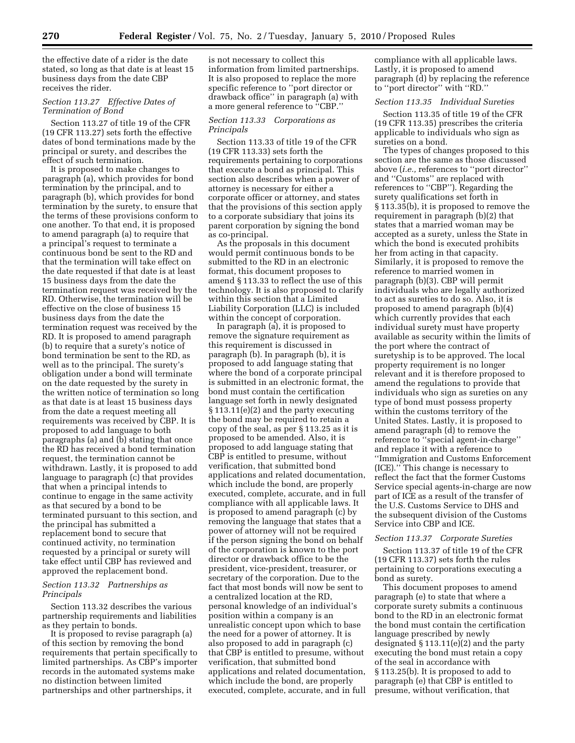the effective date of a rider is the date stated, so long as that date is at least 15 business days from the date CBP receives the rider.

# *Section 113.27 Effective Dates of Termination of Bond*

Section 113.27 of title 19 of the CFR (19 CFR 113.27) sets forth the effective dates of bond terminations made by the principal or surety, and describes the effect of such termination.

It is proposed to make changes to paragraph (a), which provides for bond termination by the principal, and to paragraph (b), which provides for bond termination by the surety, to ensure that the terms of these provisions conform to one another. To that end, it is proposed to amend paragraph (a) to require that a principal's request to terminate a continuous bond be sent to the RD and that the termination will take effect on the date requested if that date is at least 15 business days from the date the termination request was received by the RD. Otherwise, the termination will be effective on the close of business 15 business days from the date the termination request was received by the RD. It is proposed to amend paragraph (b) to require that a surety's notice of bond termination be sent to the RD, as well as to the principal. The surety's obligation under a bond will terminate on the date requested by the surety in the written notice of termination so long as that date is at least 15 business days from the date a request meeting all requirements was received by CBP. It is proposed to add language to both paragraphs (a) and (b) stating that once the RD has received a bond termination request, the termination cannot be withdrawn. Lastly, it is proposed to add language to paragraph (c) that provides that when a principal intends to continue to engage in the same activity as that secured by a bond to be terminated pursuant to this section, and the principal has submitted a replacement bond to secure that continued activity, no termination requested by a principal or surety will take effect until CBP has reviewed and approved the replacement bond.

# *Section 113.32 Partnerships as Principals*

Section 113.32 describes the various partnership requirements and liabilities as they pertain to bonds.

It is proposed to revise paragraph (a) of this section by removing the bond requirements that pertain specifically to limited partnerships. As CBP's importer records in the automated systems make no distinction between limited partnerships and other partnerships, it

is not necessary to collect this information from limited partnerships. It is also proposed to replace the more specific reference to ''port director or drawback office'' in paragraph (a) with a more general reference to ''CBP.''

### *Section 113.33 Corporations as Principals*

Section 113.33 of title 19 of the CFR (19 CFR 113.33) sets forth the requirements pertaining to corporations that execute a bond as principal. This section also describes when a power of attorney is necessary for either a corporate officer or attorney, and states that the provisions of this section apply to a corporate subsidiary that joins its parent corporation by signing the bond as co-principal.

As the proposals in this document would permit continuous bonds to be submitted to the RD in an electronic format, this document proposes to amend § 113.33 to reflect the use of this technology. It is also proposed to clarify within this section that a Limited Liability Corporation (LLC) is included within the concept of corporation.

In paragraph (a), it is proposed to remove the signature requirement as this requirement is discussed in paragraph (b). In paragraph (b), it is proposed to add language stating that where the bond of a corporate principal is submitted in an electronic format, the bond must contain the certification language set forth in newly designated § 113.11(e)(2) and the party executing the bond may be required to retain a copy of the seal, as per § 113.25 as it is proposed to be amended. Also, it is proposed to add language stating that CBP is entitled to presume, without verification, that submitted bond applications and related documentation, which include the bond, are properly executed, complete, accurate, and in full compliance with all applicable laws. It is proposed to amend paragraph (c) by removing the language that states that a power of attorney will not be required if the person signing the bond on behalf of the corporation is known to the port director or drawback office to be the president, vice-president, treasurer, or secretary of the corporation. Due to the fact that most bonds will now be sent to a centralized location at the RD, personal knowledge of an individual's position within a company is an unrealistic concept upon which to base the need for a power of attorney. It is also proposed to add in paragraph (c) that CBP is entitled to presume, without verification, that submitted bond applications and related documentation, which include the bond, are properly executed, complete, accurate, and in full compliance with all applicable laws. Lastly, it is proposed to amend paragraph (d) by replacing the reference to ''port director'' with ''RD.''

# *Section 113.35 Individual Sureties*

Section 113.35 of title 19 of the CFR (19 CFR 113.35) prescribes the criteria applicable to individuals who sign as sureties on a bond.

The types of changes proposed to this section are the same as those discussed above (*i.e.,* references to ''port director'' and ''Customs'' are replaced with references to ''CBP''). Regarding the surety qualifications set forth in § 113.35(b), it is proposed to remove the requirement in paragraph (b)(2) that states that a married woman may be accepted as a surety, unless the State in which the bond is executed prohibits her from acting in that capacity. Similarly, it is proposed to remove the reference to married women in paragraph (b)(3). CBP will permit individuals who are legally authorized to act as sureties to do so. Also, it is proposed to amend paragraph (b)(4) which currently provides that each individual surety must have property available as security within the limits of the port where the contract of suretyship is to be approved. The local property requirement is no longer relevant and it is therefore proposed to amend the regulations to provide that individuals who sign as sureties on any type of bond must possess property within the customs territory of the United States. Lastly, it is proposed to amend paragraph (d) to remove the reference to ''special agent-in-charge'' and replace it with a reference to ''Immigration and Customs Enforcement (ICE).'' This change is necessary to reflect the fact that the former Customs Service special agents-in-charge are now part of ICE as a result of the transfer of the U.S. Customs Service to DHS and the subsequent division of the Customs Service into CBP and ICE.

### *Section 113.37 Corporate Sureties*

Section 113.37 of title 19 of the CFR (19 CFR 113.37) sets forth the rules pertaining to corporations executing a bond as surety.

This document proposes to amend paragraph (e) to state that where a corporate surety submits a continuous bond to the RD in an electronic format the bond must contain the certification language prescribed by newly designated § 113.11(e)(2) and the party executing the bond must retain a copy of the seal in accordance with § 113.25(b). It is proposed to add to paragraph (e) that CBP is entitled to presume, without verification, that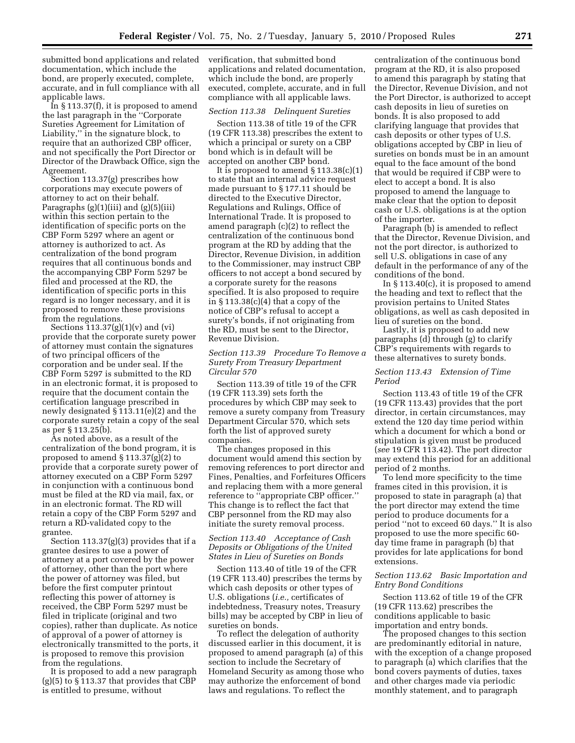submitted bond applications and related documentation, which include the bond, are properly executed, complete, accurate, and in full compliance with all applicable laws.

In § 113.37(f), it is proposed to amend the last paragraph in the ''Corporate Sureties Agreement for Limitation of Liability,'' in the signature block, to require that an authorized CBP officer, and not specifically the Port Director or Director of the Drawback Office, sign the Agreement.

Section 113.37(g) prescribes how corporations may execute powers of attorney to act on their behalf. Paragraphs  $(g)(1)(iii)$  and  $(g)(5)(iii)$ within this section pertain to the identification of specific ports on the CBP Form 5297 where an agent or attorney is authorized to act. As centralization of the bond program requires that all continuous bonds and the accompanying CBP Form 5297 be filed and processed at the RD, the identification of specific ports in this regard is no longer necessary, and it is proposed to remove these provisions from the regulations.

Sections  $113.37(g)(1)(v)$  and  $(vi)$ provide that the corporate surety power of attorney must contain the signatures of two principal officers of the corporation and be under seal. If the CBP Form 5297 is submitted to the RD in an electronic format, it is proposed to require that the document contain the certification language prescribed in newly designated § 113.11(e)(2) and the corporate surety retain a copy of the seal as per § 113.25(b).

As noted above, as a result of the centralization of the bond program, it is proposed to amend § 113.37(g)(2) to provide that a corporate surety power of attorney executed on a CBP Form 5297 in conjunction with a continuous bond must be filed at the RD via mail, fax, or in an electronic format. The RD will retain a copy of the CBP Form 5297 and return a RD-validated copy to the grantee.

Section 113.37(g)(3) provides that if a grantee desires to use a power of attorney at a port covered by the power of attorney, other than the port where the power of attorney was filed, but before the first computer printout reflecting this power of attorney is received, the CBP Form 5297 must be filed in triplicate (original and two copies), rather than duplicate. As notice of approval of a power of attorney is electronically transmitted to the ports, it is proposed to remove this provision from the regulations.

It is proposed to add a new paragraph  $(g)(5)$  to  $\S 113.37$  that provides that CBP is entitled to presume, without

verification, that submitted bond applications and related documentation, which include the bond, are properly executed, complete, accurate, and in full compliance with all applicable laws.

# *Section 113.38 Delinquent Sureties*

Section 113.38 of title 19 of the CFR (19 CFR 113.38) prescribes the extent to which a principal or surety on a CBP bond which is in default will be accepted on another CBP bond.

It is proposed to amend  $\S 113.38(c)(1)$ to state that an internal advice request made pursuant to § 177.11 should be directed to the Executive Director, Regulations and Rulings, Office of International Trade. It is proposed to amend paragraph (c)(2) to reflect the centralization of the continuous bond program at the RD by adding that the Director, Revenue Division, in addition to the Commissioner, may instruct CBP officers to not accept a bond secured by a corporate surety for the reasons specified. It is also proposed to require in  $\S 113.38(c)(4)$  that a copy of the notice of CBP's refusal to accept a surety's bonds, if not originating from the RD, must be sent to the Director, Revenue Division.

### *Section 113.39 Procedure To Remove a Surety From Treasury Department Circular 570*

Section 113.39 of title 19 of the CFR (19 CFR 113.39) sets forth the procedures by which CBP may seek to remove a surety company from Treasury Department Circular 570, which sets forth the list of approved surety companies.

The changes proposed in this document would amend this section by removing references to port director and Fines, Penalties, and Forfeitures Officers and replacing them with a more general reference to ''appropriate CBP officer.'' This change is to reflect the fact that CBP personnel from the RD may also initiate the surety removal process.

# *Section 113.40 Acceptance of Cash Deposits or Obligations of the United States in Lieu of Sureties on Bonds*

Section 113.40 of title 19 of the CFR (19 CFR 113.40) prescribes the terms by which cash deposits or other types of U.S. obligations (*i.e.,* certificates of indebtedness, Treasury notes, Treasury bills) may be accepted by CBP in lieu of sureties on bonds.

To reflect the delegation of authority discussed earlier in this document, it is proposed to amend paragraph (a) of this section to include the Secretary of Homeland Security as among those who may authorize the enforcement of bond laws and regulations. To reflect the

centralization of the continuous bond program at the RD, it is also proposed to amend this paragraph by stating that the Director, Revenue Division, and not the Port Director, is authorized to accept cash deposits in lieu of sureties on bonds. It is also proposed to add clarifying language that provides that cash deposits or other types of U.S. obligations accepted by CBP in lieu of sureties on bonds must be in an amount equal to the face amount of the bond that would be required if CBP were to elect to accept a bond. It is also proposed to amend the language to make clear that the option to deposit cash or U.S. obligations is at the option of the importer.

Paragraph (b) is amended to reflect that the Director, Revenue Division, and not the port director, is authorized to sell U.S. obligations in case of any default in the performance of any of the conditions of the bond.

In § 113.40(c), it is proposed to amend the heading and text to reflect that the provision pertains to United States obligations, as well as cash deposited in lieu of sureties on the bond.

Lastly, it is proposed to add new paragraphs (d) through (g) to clarify CBP's requirements with regards to these alternatives to surety bonds.

### *Section 113.43 Extension of Time Period*

Section 113.43 of title 19 of the CFR (19 CFR 113.43) provides that the port director, in certain circumstances, may extend the 120 day time period within which a document for which a bond or stipulation is given must be produced (*see* 19 CFR 113.42). The port director may extend this period for an additional period of 2 months.

To lend more specificity to the time frames cited in this provision, it is proposed to state in paragraph (a) that the port director may extend the time period to produce documents for a period ''not to exceed 60 days.'' It is also proposed to use the more specific 60 day time frame in paragraph (b) that provides for late applications for bond extensions.

# *Section 113.62 Basic Importation and Entry Bond Conditions*

Section 113.62 of title 19 of the CFR (19 CFR 113.62) prescribes the conditions applicable to basic importation and entry bonds.

The proposed changes to this section are predominantly editorial in nature, with the exception of a change proposed to paragraph (a) which clarifies that the bond covers payments of duties, taxes and other charges made via periodic monthly statement, and to paragraph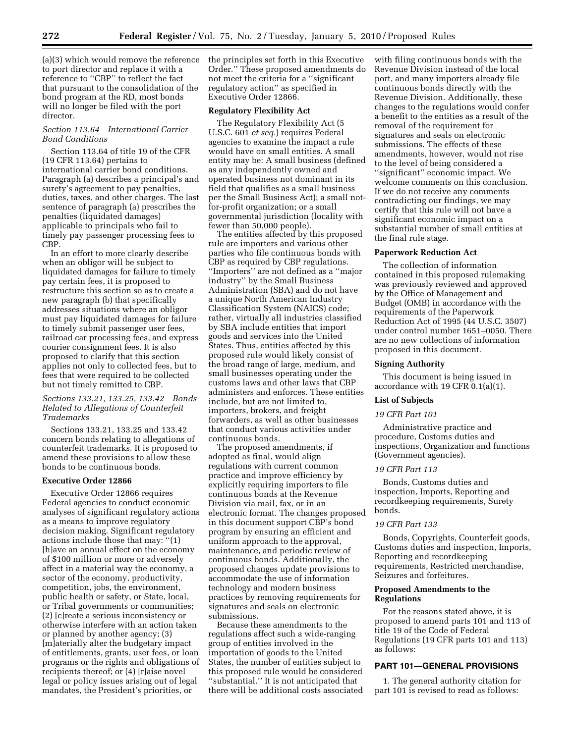(a)(3) which would remove the reference to port director and replace it with a reference to ''CBP'' to reflect the fact that pursuant to the consolidation of the bond program at the RD, most bonds will no longer be filed with the port director.

# *Section 113.64 International Carrier Bond Conditions*

Section 113.64 of title 19 of the CFR (19 CFR 113.64) pertains to international carrier bond conditions. Paragraph (a) describes a principal's and surety's agreement to pay penalties, duties, taxes, and other charges. The last sentence of paragraph (a) prescribes the penalties (liquidated damages) applicable to principals who fail to timely pay passenger processing fees to CBP.

In an effort to more clearly describe when an obligor will be subject to liquidated damages for failure to timely pay certain fees, it is proposed to restructure this section so as to create a new paragraph (b) that specifically addresses situations where an obligor must pay liquidated damages for failure to timely submit passenger user fees, railroad car processing fees, and express courier consignment fees. It is also proposed to clarify that this section applies not only to collected fees, but to fees that were required to be collected but not timely remitted to CBP.

# *Sections 133.21, 133.25, 133.42 Bonds Related to Allegations of Counterfeit Trademarks*

Sections 133.21, 133.25 and 133.42 concern bonds relating to allegations of counterfeit trademarks. It is proposed to amend these provisions to allow these bonds to be continuous bonds.

# **Executive Order 12866**

Executive Order 12866 requires Federal agencies to conduct economic analyses of significant regulatory actions as a means to improve regulatory decision making. Significant regulatory actions include those that may: ''(1) [h]ave an annual effect on the economy of \$100 million or more or adversely affect in a material way the economy, a sector of the economy, productivity, competition, jobs, the environment, public health or safety, or State, local, or Tribal governments or communities; (2) [c]reate a serious inconsistency or otherwise interfere with an action taken or planned by another agency; (3) [m]aterially alter the budgetary impact of entitlements, grants, user fees, or loan programs or the rights and obligations of recipients thereof; or (4) [r]aise novel legal or policy issues arising out of legal mandates, the President's priorities, or

the principles set forth in this Executive Order.'' These proposed amendments do not meet the criteria for a ''significant regulatory action'' as specified in Executive Order 12866.

# **Regulatory Flexibility Act**

The Regulatory Flexibility Act (5 U.S.C. 601 *et seq.*) requires Federal agencies to examine the impact a rule would have on small entities. A small entity may be: A small business (defined as any independently owned and operated business not dominant in its field that qualifies as a small business per the Small Business Act); a small notfor-profit organization; or a small governmental jurisdiction (locality with fewer than 50,000 people).

The entities affected by this proposed rule are importers and various other parties who file continuous bonds with CBP as required by CBP regulations. ''Importers'' are not defined as a ''major industry'' by the Small Business Administration (SBA) and do not have a unique North American Industry Classification System (NAICS) code; rather, virtually all industries classified by SBA include entities that import goods and services into the United States. Thus, entities affected by this proposed rule would likely consist of the broad range of large, medium, and small businesses operating under the customs laws and other laws that CBP administers and enforces. These entities include, but are not limited to, importers, brokers, and freight forwarders, as well as other businesses that conduct various activities under continuous bonds.

The proposed amendments, if adopted as final, would align regulations with current common practice and improve efficiency by explicitly requiring importers to file continuous bonds at the Revenue Division via mail, fax, or in an electronic format. The changes proposed in this document support CBP's bond program by ensuring an efficient and uniform approach to the approval, maintenance, and periodic review of continuous bonds. Additionally, the proposed changes update provisions to accommodate the use of information technology and modern business practices by removing requirements for signatures and seals on electronic submissions.

Because these amendments to the regulations affect such a wide-ranging group of entities involved in the importation of goods to the United States, the number of entities subject to this proposed rule would be considered ''substantial.'' It is not anticipated that there will be additional costs associated with filing continuous bonds with the Revenue Division instead of the local port, and many importers already file continuous bonds directly with the Revenue Division. Additionally, these changes to the regulations would confer a benefit to the entities as a result of the removal of the requirement for signatures and seals on electronic submissions. The effects of these amendments, however, would not rise to the level of being considered a ''significant'' economic impact. We welcome comments on this conclusion. If we do not receive any comments contradicting our findings, we may certify that this rule will not have a significant economic impact on a substantial number of small entities at the final rule stage.

### **Paperwork Reduction Act**

The collection of information contained in this proposed rulemaking was previously reviewed and approved by the Office of Management and Budget (OMB) in accordance with the requirements of the Paperwork Reduction Act of 1995 (44 U.S.C. 3507) under control number 1651–0050. There are no new collections of information proposed in this document.

#### **Signing Authority**

This document is being issued in accordance with 19 CFR 0.1(a)(1).

# **List of Subjects**

#### *19 CFR Part 101*

Administrative practice and procedure, Customs duties and inspections, Organization and functions (Government agencies).

# *19 CFR Part 113*

Bonds, Customs duties and inspection, Imports, Reporting and recordkeeping requirements, Surety bonds.

# *19 CFR Part 133*

Bonds, Copyrights, Counterfeit goods, Customs duties and inspection, Imports, Reporting and recordkeeping requirements, Restricted merchandise, Seizures and forfeitures.

# **Proposed Amendments to the Regulations**

For the reasons stated above, it is proposed to amend parts 101 and 113 of title 19 of the Code of Federal Regulations (19 CFR parts 101 and 113) as follows:

# **PART 101—GENERAL PROVISIONS**

1. The general authority citation for part 101 is revised to read as follows: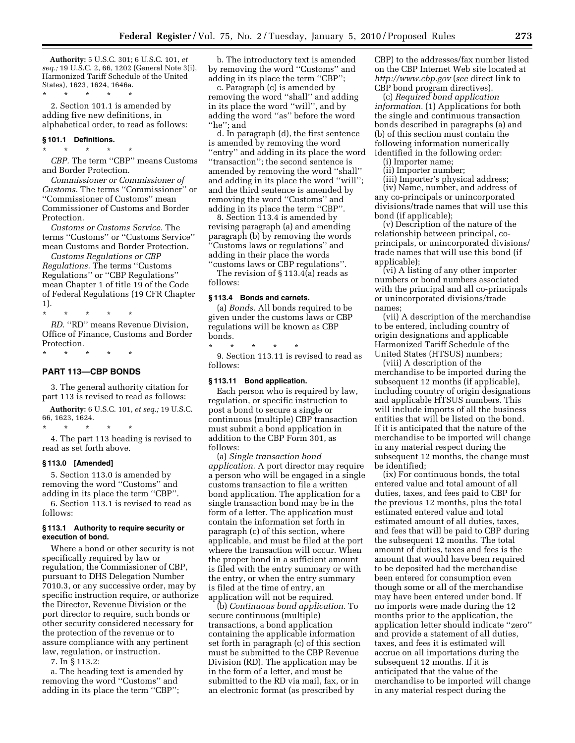**Authority:** 5 U.S.C. 301; 6 U.S.C. 101, *et seq.;* 19 U.S.C. 2, 66, 1202 (General Note 3(i), Harmonized Tariff Schedule of the United States), 1623, 1624, 1646a.

\* \* \* \* \* 2. Section 101.1 is amended by adding five new definitions, in alphabetical order, to read as follows:

# **§ 101.1 Definitions.**

\* \* \* \* \*

*CBP.* The term ''CBP'' means Customs and Border Protection.

*Commissioner or Commissioner of Customs.* The terms ''Commissioner'' or ''Commissioner of Customs'' mean Commissioner of Customs and Border Protection.

*Customs or Customs Service.* The terms ''Customs'' or ''Customs Service'' mean Customs and Border Protection.

*Customs Regulations or CBP Regulations.* The terms ''Customs Regulations'' or ''CBP Regulations'' mean Chapter 1 of title 19 of the Code of Federal Regulations (19 CFR Chapter 1).

\* \* \* \* \* *RD.* ''RD'' means Revenue Division, Office of Finance, Customs and Border Protection. \* \* \* \* \*

# **PART 113—CBP BONDS**

3. The general authority citation for part 113 is revised to read as follows:

**Authority:** 6 U.S.C. 101, *et seq.;* 19 U.S.C. 66, 1623, 1624.

\* \* \* \* \*

4. The part 113 heading is revised to read as set forth above.

# **§ 113.0 [Amended]**

5. Section 113.0 is amended by removing the word ''Customs'' and adding in its place the term ''CBP''.

6. Section 113.1 is revised to read as follows:

### **§ 113.1 Authority to require security or execution of bond.**

Where a bond or other security is not specifically required by law or regulation, the Commissioner of CBP, pursuant to DHS Delegation Number 7010.3, or any successive order, may by specific instruction require, or authorize the Director, Revenue Division or the port director to require, such bonds or other security considered necessary for the protection of the revenue or to assure compliance with any pertinent law, regulation, or instruction.

7. In § 113.2:

a. The heading text is amended by removing the word ''Customs'' and adding in its place the term ''CBP'';

b. The introductory text is amended by removing the word ''Customs'' and adding in its place the term ''CBP'';

c. Paragraph (c) is amended by removing the word ''shall'' and adding in its place the word ''will'', and by adding the word ''as'' before the word ''he''; and

d. In paragraph (d), the first sentence is amended by removing the word ''entry'' and adding in its place the word ''transaction''; the second sentence is amended by removing the word ''shall'' and adding in its place the word ''will''; and the third sentence is amended by removing the word ''Customs'' and adding in its place the term ''CBP''.

8. Section 113.4 is amended by revising paragraph (a) and amending paragraph (b) by removing the words ''Customs laws or regulations'' and adding in their place the words

''customs laws or CBP regulations''. The revision of § 113.4(a) reads as follows:

# **§ 113.4 Bonds and carnets.**

(a) *Bonds.* All bonds required to be given under the customs laws or CBP regulations will be known as CBP bonds.

\* \* \* \* \* 9. Section 113.11 is revised to read as follows:

### **§ 113.11 Bond application.**

Each person who is required by law, regulation, or specific instruction to post a bond to secure a single or continuous (multiple) CBP transaction must submit a bond application in addition to the CBP Form 301, as follows:

(a) *Single transaction bond application.* A port director may require a person who will be engaged in a single customs transaction to file a written bond application. The application for a single transaction bond may be in the form of a letter. The application must contain the information set forth in paragraph (c) of this section, where applicable, and must be filed at the port where the transaction will occur. When the proper bond in a sufficient amount is filed with the entry summary or with the entry, or when the entry summary is filed at the time of entry, an application will not be required.

(b) *Continuous bond application.* To secure continuous (multiple) transactions, a bond application containing the applicable information set forth in paragraph (c) of this section must be submitted to the CBP Revenue Division (RD). The application may be in the form of a letter, and must be submitted to the RD via mail, fax, or in an electronic format (as prescribed by

CBP) to the addresses/fax number listed on the CBP Internet Web site located at *http://www.cbp.gov* (*see* direct link to CBP bond program directives).

(c) *Required bond application information.* (1) Applications for both the single and continuous transaction bonds described in paragraphs (a) and (b) of this section must contain the following information numerically identified in the following order:

(i) Importer name; (ii) Importer number;

(iii) Importer's physical address;

(iv) Name, number, and address of any co-principals or unincorporated divisions/trade names that will use this bond (if applicable);

(v) Description of the nature of the relationship between principal, coprincipals, or unincorporated divisions/ trade names that will use this bond (if applicable);

(vi) A listing of any other importer numbers or bond numbers associated with the principal and all co-principals or unincorporated divisions/trade names;

(vii) A description of the merchandise to be entered, including country of origin designations and applicable Harmonized Tariff Schedule of the United States (HTSUS) numbers;

(viii) A description of the merchandise to be imported during the subsequent 12 months (if applicable), including country of origin designations and applicable HTSUS numbers. This will include imports of all the business entities that will be listed on the bond. If it is anticipated that the nature of the merchandise to be imported will change in any material respect during the subsequent 12 months, the change must be identified;

(ix) For continuous bonds, the total entered value and total amount of all duties, taxes, and fees paid to CBP for the previous 12 months, plus the total estimated entered value and total estimated amount of all duties, taxes, and fees that will be paid to CBP during the subsequent 12 months. The total amount of duties, taxes and fees is the amount that would have been required to be deposited had the merchandise been entered for consumption even though some or all of the merchandise may have been entered under bond. If no imports were made during the 12 months prior to the application, the application letter should indicate ''zero'' and provide a statement of all duties, taxes, and fees it is estimated will accrue on all importations during the subsequent 12 months. If it is anticipated that the value of the merchandise to be imported will change in any material respect during the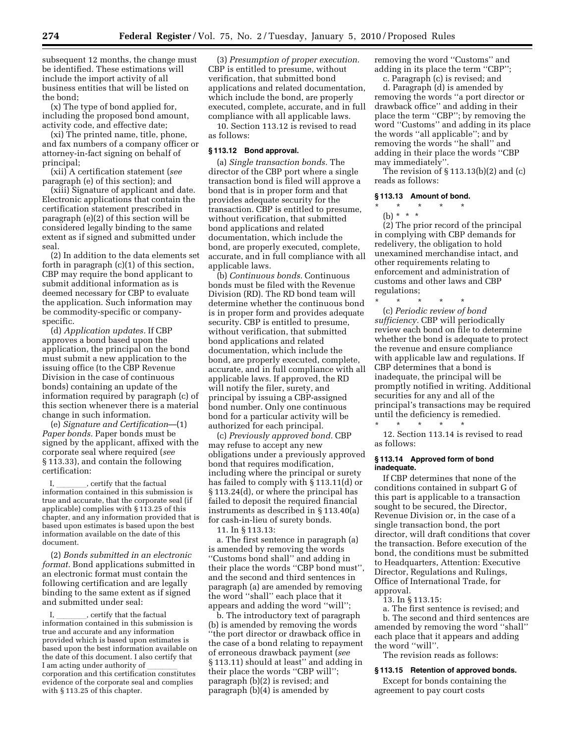subsequent 12 months, the change must be identified. These estimations will include the import activity of all business entities that will be listed on the bond;

(x) The type of bond applied for, including the proposed bond amount, activity code, and effective date;

(xi) The printed name, title, phone, and fax numbers of a company officer or attorney-in-fact signing on behalf of principal;

(xii) A certification statement (*see*  paragraph (e) of this section); and

(xiii) Signature of applicant and date. Electronic applications that contain the certification statement prescribed in paragraph (e)(2) of this section will be considered legally binding to the same extent as if signed and submitted under seal.

(2) In addition to the data elements set forth in paragraph (c)(1) of this section, CBP may require the bond applicant to submit additional information as is deemed necessary for CBP to evaluate the application. Such information may be commodity-specific or companyspecific.

(d) *Application updates.* If CBP approves a bond based upon the application, the principal on the bond must submit a new application to the issuing office (to the CBP Revenue Division in the case of continuous bonds) containing an update of the information required by paragraph (c) of this section whenever there is a material change in such information.

(e) *Signature and Certification*—(1) *Paper bonds.* Paper bonds must be signed by the applicant, affixed with the corporate seal where required (*see*  § 113.33), and contain the following certification:

I, \_\_\_\_\_\_\_\_, certify that the factual<br>information contained in this submission is true and accurate, that the corporate seal (if applicable) complies with § 113.25 of this chapter, and any information provided that is based upon estimates is based upon the best information available on the date of this document.

(2) *Bonds submitted in an electronic format.* Bond applications submitted in an electronic format must contain the following certification and are legally binding to the same extent as if signed and submitted under seal:

I, \_\_\_\_\_\_\_\_, certify that the factual<br>information contained in this submission is true and accurate and any information provided which is based upon estimates is based upon the best information available on the date of this document. I also certify that<br>I am acting under authority of I am acting under authority of \_\_\_\_\_\_\_\_<br>corporation and this certification constitutes evidence of the corporate seal and complies with § 113.25 of this chapter.

(3) *Presumption of proper execution.*  CBP is entitled to presume, without verification, that submitted bond applications and related documentation, which include the bond, are properly executed, complete, accurate, and in full compliance with all applicable laws.

10. Section 113.12 is revised to read as follows:

# **§ 113.12 Bond approval.**

(a) *Single transaction bonds.* The director of the CBP port where a single transaction bond is filed will approve a bond that is in proper form and that provides adequate security for the transaction. CBP is entitled to presume, without verification, that submitted bond applications and related documentation, which include the bond, are properly executed, complete, accurate, and in full compliance with all applicable laws.

(b) *Continuous bonds.* Continuous bonds must be filed with the Revenue Division (RD). The RD bond team will determine whether the continuous bond is in proper form and provides adequate security. CBP is entitled to presume, without verification, that submitted bond applications and related documentation, which include the bond, are properly executed, complete, accurate, and in full compliance with all applicable laws. If approved, the RD will notify the filer, surety, and principal by issuing a CBP-assigned bond number. Only one continuous bond for a particular activity will be authorized for each principal.

(c) *Previously approved bond.* CBP may refuse to accept any new obligations under a previously approved bond that requires modification, including where the principal or surety has failed to comply with § 113.11(d) or § 113.24(d), or where the principal has failed to deposit the required financial instruments as described in § 113.40(a) for cash-in-lieu of surety bonds.

### 11. In § 113.13:

a. The first sentence in paragraph (a) is amended by removing the words ''Customs bond shall'' and adding in their place the words ''CBP bond must'', and the second and third sentences in paragraph (a) are amended by removing the word ''shall'' each place that it appears and adding the word ''will'';

b. The introductory text of paragraph (b) is amended by removing the words ''the port director or drawback office in the case of a bond relating to repayment of erroneous drawback payment (*see*  § 113.11) should at least" and adding in their place the words ''CBP will''; paragraph (b)(2) is revised; and paragraph (b)(4) is amended by

removing the word ''Customs'' and adding in its place the term ''CBP'';

c. Paragraph (c) is revised; and

d. Paragraph (d) is amended by removing the words ''a port director or drawback office'' and adding in their place the term ''CBP''; by removing the word ''Customs'' and adding in its place the words ''all applicable''; and by removing the words ''he shall'' and adding in their place the words ''CBP may immediately''.

The revision of § 113.13(b)(2) and (c) reads as follows:

# **§ 113.13 Amount of bond.**

- $\star$   $\star$   $\star$
- (b) \* \* \*

(2) The prior record of the principal in complying with CBP demands for redelivery, the obligation to hold unexamined merchandise intact, and other requirements relating to enforcement and administration of customs and other laws and CBP regulations;

\* \* \* \* \* (c) *Periodic review of bond sufficiency.* CBP will periodically review each bond on file to determine whether the bond is adequate to protect the revenue and ensure compliance with applicable law and regulations. If CBP determines that a bond is inadequate, the principal will be promptly notified in writing. Additional securities for any and all of the principal's transactions may be required until the deficiency is remedied.

\* \* \* \* \* 12. Section 113.14 is revised to read as follows:

# **§ 113.14 Approved form of bond inadequate.**

If CBP determines that none of the conditions contained in subpart G of this part is applicable to a transaction sought to be secured, the Director, Revenue Division or, in the case of a single transaction bond, the port director, will draft conditions that cover the transaction. Before execution of the bond, the conditions must be submitted to Headquarters, Attention: Executive Director, Regulations and Rulings, Office of International Trade, for approval.

13. In § 113.15:

a. The first sentence is revised; and b. The second and third sentences are amended by removing the word ''shall'' each place that it appears and adding the word ''will''.

The revision reads as follows:

#### **§ 113.15 Retention of approved bonds.**

Except for bonds containing the agreement to pay court costs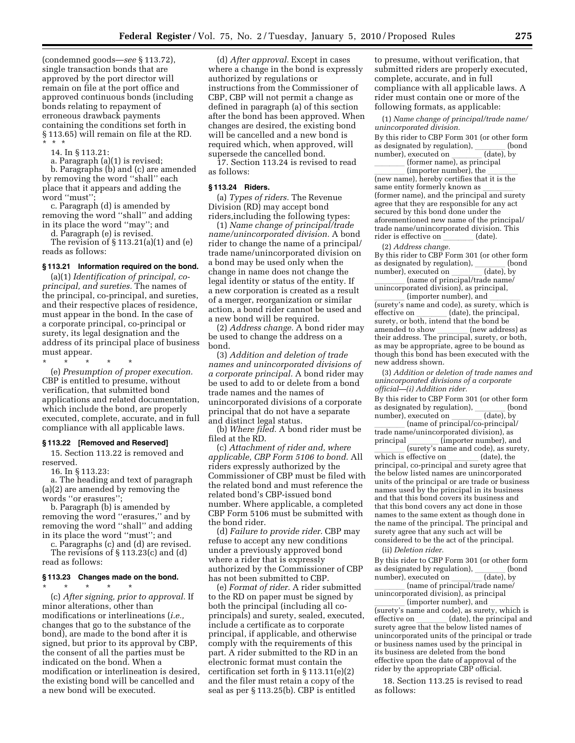(condemned goods—*see* § 113.72), single transaction bonds that are approved by the port director will remain on file at the port office and approved continuous bonds (including bonds relating to repayment of erroneous drawback payments containing the conditions set forth in § 113.65) will remain on file at the RD. \* \* \*

14. In § 113.21:

a. Paragraph (a)(1) is revised;

b. Paragraphs (b) and (c) are amended by removing the word ''shall'' each place that it appears and adding the word ''must'';

c. Paragraph (d) is amended by removing the word ''shall'' and adding in its place the word ''may''; and

d. Paragraph (e) is revised.

The revision of § 113.21(a)(1) and (e) reads as follows:

# **§ 113.21 Information required on the bond.**

(a)(1) *Identification of principal, coprincipal, and sureties.* The names of the principal, co-principal, and sureties, and their respective places of residence, must appear in the bond. In the case of a corporate principal, co-principal or surety, its legal designation and the address of its principal place of business must appear.

\* \* \* \* \* (e) *Presumption of proper execution.*  CBP is entitled to presume, without verification, that submitted bond applications and related documentation, which include the bond, are properly executed, complete, accurate, and in full compliance with all applicable laws.

### **§ 113.22 [Removed and Reserved]**

15. Section 113.22 is removed and reserved.

16. In § 113.23:

a. The heading and text of paragraph (a)(2) are amended by removing the words ''or erasures'';

b. Paragraph (b) is amended by removing the word ''erasures,'' and by removing the word ''shall'' and adding in its place the word ''must''; and

c. Paragraphs (c) and (d) are revised. The revisions of § 113.23(c) and (d) read as follows:

### **§ 113.23 Changes made on the bond.**

\* \* \* \* \*

(c) *After signing, prior to approval.* If minor alterations, other than modifications or interlineations (*i.e.,*  changes that go to the substance of the bond), are made to the bond after it is signed, but prior to its approval by CBP, the consent of all the parties must be indicated on the bond. When a modification or interlineation is desired, the existing bond will be cancelled and a new bond will be executed.

(d) *After approval.* Except in cases where a change in the bond is expressly authorized by regulations or instructions from the Commissioner of CBP, CBP will not permit a change as defined in paragraph (a) of this section after the bond has been approved. When changes are desired, the existing bond will be cancelled and a new bond is required which, when approved, will supersede the cancelled bond.

17. Section 113.24 is revised to read as follows:

# **§ 113.24 Riders.**

(a) *Types of riders.* The Revenue Division (RD) may accept bond riders,including the following types:

(1) *Name change of principal/trade name/unincorporated division.* A bond rider to change the name of a principal/ trade name/unincorporated division on a bond may be used only when the change in name does not change the legal identity or status of the entity. If a new corporation is created as a result of a merger, reorganization or similar action, a bond rider cannot be used and a new bond will be required.

(2) *Address change.* A bond rider may be used to change the address on a bond.

(3) *Addition and deletion of trade names and unincorporated divisions of a corporate principal.* A bond rider may be used to add to or delete from a bond trade names and the names of unincorporated divisions of a corporate principal that do not have a separate and distinct legal status.

(b) *Where filed.* A bond rider must be filed at the RD.

(c) *Attachment of rider and, where applicable, CBP Form 5106 to bond.* All riders expressly authorized by the Commissioner of CBP must be filed with the related bond and must reference the related bond's CBP-issued bond number. Where applicable, a completed CBP Form 5106 must be submitted with the bond rider.

(d) *Failure to provide rider.* CBP may refuse to accept any new conditions under a previously approved bond where a rider that is expressly authorized by the Commissioner of CBP has not been submitted to CBP.

(e) *Format of rider.* A rider submitted to the RD on paper must be signed by both the principal (including all coprincipals) and surety, sealed, executed, include a certificate as to corporate principal, if applicable, and otherwise comply with the requirements of this part. A rider submitted to the RD in an electronic format must contain the certification set forth in § 113.11(e)(2) and the filer must retain a copy of the seal as per § 113.25(b). CBP is entitled

to presume, without verification, that submitted riders are properly executed, complete, accurate, and in full compliance with all applicable laws. A rider must contain one or more of the following formats, as applicable:

(1) *Name change of principal/trade name/ unincorporated division.* 

By this rider to CBP Form 301 (or other form as designated by regulation), \_\_\_\_\_\_\_ (bond number), executed on \_\_\_\_\_\_\_ (date), by number), executed on \_\_\_\_\_\_ (date), by<br>former name), as principal

(former name), as principal<br>limporter number), the llll (importer number), the llll (new name), hereby certifies that it is the same entity formerly known as \_\_\_\_\_\_\_\_\_<br>(former name), and the principal and surety agree that they are responsible for any act secured by this bond done under the aforementioned new name of the principal/ trade name/unincorporated division. This rider is effective on (date).

(2) *Address change.* 

By this rider to CBP Form 301 (or other form as designated by regulation),  $\frac{1}{\text{(date)}}$  (bond number), executed on

 $(name of principal/trade name)$ llll (name of principal/trade name/ unincorporated division), as principal,

 $\frac{1}{\text{(surety's name and code), as surely, which is}}$ effective on \_\_\_\_\_\_\_ (date), the principal,<br>surety, or both, intend that the bond be amended to show \_\_\_\_\_\_\_ (new address) as<br>their address. The principal, surety, or both, as may be appropriate, agree to be bound as though this bond has been executed with the new address shown.

(3) *Addition or deletion of trade names and unincorporated divisions of a corporate official—(i) Addition rider.* 

By this rider to CBP Form 301 (or other form as designated by regulation),  $\frac{\ }{\ }$  (bond number), executed on (date), bynumber), executed on \_\_\_\_\_\_\_ (date), by<br>frame of principal/co-principal/

 $\frac{1}{\text{trade name (unincornored division)}}$ trade name/unincorporated division), as principal <u>lead</u> (importer number), and<br>surety's name and code), as suret  $\frac{1}{\text{which is effective on}}$  (surety's name and code), as surety, which is effective on \_\_\_\_\_\_\_ (date), the<br>principal, co-principal and surety agree that the below listed names are unincorporated units of the principal or are trade or business names used by the principal in its business and that this bond covers its business and that this bond covers any act done in those names to the same extent as though done in the name of the principal. The principal and surety agree that any such act will be considered to be the act of the principal.

(ii) *Deletion rider.* 

By this rider to CBP Form 301 (or other form as designated by regulation),  $\frac{1}{\text{(date)}}$  (bond number), executed on number), executed on \_\_\_\_\_\_ (date), by<br>frame of principal/trade name/

 $\frac{1}{\text{mincornorated division}}$  as principal/trade name/ unincorporated division), as principal

(importer number), and<br>(surety's name and code), as surety, which is effective on \_\_\_\_\_\_\_ (date), the principal and<br>surety agree that the below listed names of unincorporated units of the principal or trade or business names used by the principal in its business are deleted from the bond effective upon the date of approval of the rider by the appropriate CBP official.

18. Section 113.25 is revised to read as follows: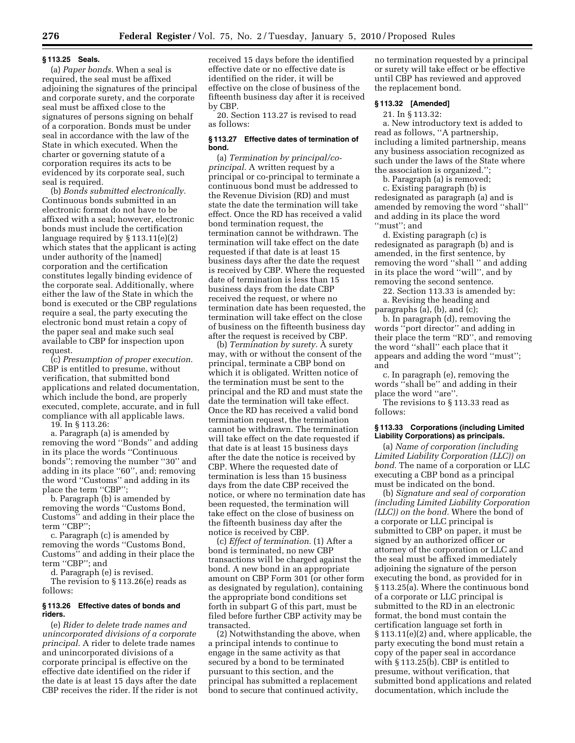#### **§ 113.25 Seals.**

(a) *Paper bonds.* When a seal is required, the seal must be affixed adjoining the signatures of the principal and corporate surety, and the corporate seal must be affixed close to the signatures of persons signing on behalf of a corporation. Bonds must be under seal in accordance with the law of the State in which executed. When the charter or governing statute of a corporation requires its acts to be evidenced by its corporate seal, such seal is required.

(b) *Bonds submitted electronically.*  Continuous bonds submitted in an electronic format do not have to be affixed with a seal; however, electronic bonds must include the certification language required by § 113.11(e)(2) which states that the applicant is acting under authority of the [named] corporation and the certification constitutes legally binding evidence of the corporate seal. Additionally, where either the law of the State in which the bond is executed or the CBP regulations require a seal, the party executing the electronic bond must retain a copy of the paper seal and make such seal available to CBP for inspection upon request.

(c) *Presumption of proper execution.*  CBP is entitled to presume, without verification, that submitted bond applications and related documentation, which include the bond, are properly executed, complete, accurate, and in full compliance with all applicable laws.

19. In § 113.26:

a. Paragraph (a) is amended by removing the word ''Bonds'' and adding in its place the words ''Continuous bonds''; removing the number ''30'' and adding in its place ''60'', and; removing the word ''Customs'' and adding in its place the term ''CBP'';

b. Paragraph (b) is amended by removing the words ''Customs Bond, Customs'' and adding in their place the term ''CBP'';

c. Paragraph (c) is amended by removing the words ''Customs Bond, Customs'' and adding in their place the term ''CBP''; and

d. Paragraph (e) is revised.

The revision to § 113.26(e) reads as follows:

#### **§ 113.26 Effective dates of bonds and riders.**

(e) *Rider to delete trade names and unincorporated divisions of a corporate principal.* A rider to delete trade names and unincorporated divisions of a corporate principal is effective on the effective date identified on the rider if the date is at least 15 days after the date CBP receives the rider. If the rider is not

received 15 days before the identified effective date or no effective date is identified on the rider, it will be effective on the close of business of the fifteenth business day after it is received by CBP.

20. Section 113.27 is revised to read as follows:

# **§ 113.27 Effective dates of termination of bond.**

(a) *Termination by principal/coprincipal.* A written request by a principal or co-principal to terminate a continuous bond must be addressed to the Revenue Division (RD) and must state the date the termination will take effect. Once the RD has received a valid bond termination request, the termination cannot be withdrawn. The termination will take effect on the date requested if that date is at least 15 business days after the date the request is received by CBP. Where the requested date of termination is less than 15 business days from the date CBP received the request, or where no termination date has been requested, the termination will take effect on the close of business on the fifteenth business day after the request is received by CBP.

(b) *Termination by surety.* A surety may, with or without the consent of the principal, terminate a CBP bond on which it is obligated. Written notice of the termination must be sent to the principal and the RD and must state the date the termination will take effect. Once the RD has received a valid bond termination request, the termination cannot be withdrawn. The termination will take effect on the date requested if that date is at least 15 business days after the date the notice is received by CBP. Where the requested date of termination is less than 15 business days from the date CBP received the notice, or where no termination date has been requested, the termination will take effect on the close of business on the fifteenth business day after the notice is received by CBP.

(c) *Effect of termination.* (1) After a bond is terminated, no new CBP transactions will be charged against the bond. A new bond in an appropriate amount on CBP Form 301 (or other form as designated by regulation), containing the appropriate bond conditions set forth in subpart G of this part, must be filed before further CBP activity may be transacted.

(2) Notwithstanding the above, when a principal intends to continue to engage in the same activity as that secured by a bond to be terminated pursuant to this section, and the principal has submitted a replacement bond to secure that continued activity,

no termination requested by a principal or surety will take effect or be effective until CBP has reviewed and approved the replacement bond.

# **§ 113.32 [Amended]**

21. In § 113.32:

a. New introductory text is added to read as follows, ''A partnership, including a limited partnership, means any business association recognized as such under the laws of the State where the association is organized.'';

b. Paragraph (a) is removed;

c. Existing paragraph (b) is redesignated as paragraph (a) and is amended by removing the word ''shall'' and adding in its place the word ''must''; and

d. Existing paragraph (c) is redesignated as paragraph (b) and is amended, in the first sentence, by removing the word ''shall '' and adding in its place the word ''will'', and by removing the second sentence.

22. Section 113.33 is amended by: a. Revising the heading and paragraphs (a), (b), and (c);

b. In paragraph (d), removing the words ''port director'' and adding in their place the term ''RD'', and removing the word ''shall'' each place that it appears and adding the word ''must''; and

c. In paragraph (e), removing the words ''shall be'' and adding in their place the word ''are''.

The revisions to § 113.33 read as follows:

# **§ 113.33 Corporations (including Limited Liability Corporations) as principals.**

(a) *Name of corporation (including Limited Liability Corporation (LLC)) on bond.* The name of a corporation or LLC executing a CBP bond as a principal must be indicated on the bond.

(b) *Signature and seal of corporation (including Limited Liability Corporation (LLC)) on the bond.* Where the bond of a corporate or LLC principal is submitted to CBP on paper, it must be signed by an authorized officer or attorney of the corporation or LLC and the seal must be affixed immediately adjoining the signature of the person executing the bond, as provided for in § 113.25(a). Where the continuous bond of a corporate or LLC principal is submitted to the RD in an electronic format, the bond must contain the certification language set forth in § 113.11(e)(2) and, where applicable, the party executing the bond must retain a copy of the paper seal in accordance with § 113.25(b). CBP is entitled to presume, without verification, that submitted bond applications and related documentation, which include the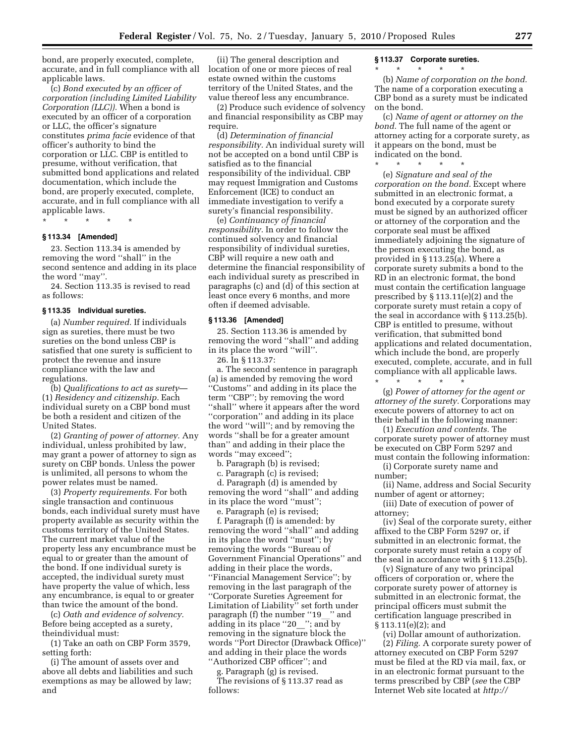bond, are properly executed, complete, accurate, and in full compliance with all applicable laws.

(c) *Bond executed by an officer of corporation (including Limited Liability Corporation (LLC)).* When a bond is executed by an officer of a corporation or LLC, the officer's signature constitutes *prima facie* evidence of that officer's authority to bind the corporation or LLC. CBP is entitled to presume, without verification, that submitted bond applications and related documentation, which include the bond, are properly executed, complete, accurate, and in full compliance with all applicable laws.

\* \* \* \* \*

# **§ 113.34 [Amended]**

23. Section 113.34 is amended by removing the word ''shall'' in the second sentence and adding in its place the word ''may''.

24. Section 113.35 is revised to read as follows:

#### **§ 113.35 Individual sureties.**

(a) *Number required.* If individuals sign as sureties, there must be two sureties on the bond unless CBP is satisfied that one surety is sufficient to protect the revenue and insure compliance with the law and regulations.

(b) *Qualifications to act as surety*— (1) *Residency and citizenship.* Each individual surety on a CBP bond must be both a resident and citizen of the United States.

(2) *Granting of power of attorney.* Any individual, unless prohibited by law, may grant a power of attorney to sign as surety on CBP bonds. Unless the power is unlimited, all persons to whom the power relates must be named.

(3) *Property requirements.* For both single transaction and continuous bonds, each individual surety must have property available as security within the customs territory of the United States. The current market value of the property less any encumbrance must be equal to or greater than the amount of the bond. If one individual surety is accepted, the individual surety must have property the value of which, less any encumbrance, is equal to or greater than twice the amount of the bond.

(c) *Oath and evidence of solvency.*  Before being accepted as a surety, theindividual must:

(1) Take an oath on CBP Form 3579, setting forth:

(i) The amount of assets over and above all debts and liabilities and such exemptions as may be allowed by law; and

(ii) The general description and location of one or more pieces of real estate owned within the customs territory of the United States, and the value thereof less any encumbrance.

(2) Produce such evidence of solvency and financial responsibility as CBP may require.

(d) *Determination of financial responsibility.* An individual surety will not be accepted on a bond until CBP is satisfied as to the financial responsibility of the individual. CBP may request Immigration and Customs Enforcement (ICE) to conduct an immediate investigation to verify a surety's financial responsibility.

(e) *Continuancy of financial responsibility.* In order to follow the continued solvency and financial responsibility of individual sureties, CBP will require a new oath and determine the financial responsibility of each individual surety as prescribed in paragraphs (c) and (d) of this section at least once every 6 months, and more often if deemed advisable.

### **§ 113.36 [Amended]**

25. Section 113.36 is amended by removing the word ''shall'' and adding in its place the word ''will''.

26. In § 113.37:

a. The second sentence in paragraph (a) is amended by removing the word ''Customs'' and adding in its place the term ''CBP''; by removing the word ''shall'' where it appears after the word ''corporation'' and adding in its place the word ''will''; and by removing the words ''shall be for a greater amount than'' and adding in their place the words ''may exceed'';

b. Paragraph (b) is revised;

c. Paragraph (c) is revised;

d. Paragraph (d) is amended by removing the word ''shall'' and adding in its place the word ''must'';

e. Paragraph (e) is revised;

f. Paragraph (f) is amended: by removing the word ''shall'' and adding in its place the word ''must''; by removing the words ''Bureau of Government Financial Operations'' and adding in their place the words, ''Financial Management Service''; by removing in the last paragraph of the ''Corporate Sureties Agreement for Limitation of Liability'' set forth under paragraph (f) the number "19\_" and adding in its place "20\_"; and by removing in the signature block the words ''Port Director (Drawback Office)'' and adding in their place the words ''Authorized CBP officer''; and

g. Paragraph (g) is revised.

The revisions of § 113.37 read as follows:

#### **§ 113.37 Corporate sureties.**

\* \* \* \* \*

(b) *Name of corporation on the bond.*  The name of a corporation executing a CBP bond as a surety must be indicated on the bond.

(c) *Name of agent or attorney on the bond.* The full name of the agent or attorney acting for a corporate surety, as it appears on the bond, must be indicated on the bond.

\* \* \* \* \* (e) *Signature and seal of the corporation on the bond.* Except where submitted in an electronic format, a bond executed by a corporate surety must be signed by an authorized officer or attorney of the corporation and the corporate seal must be affixed immediately adjoining the signature of the person executing the bond, as provided in § 113.25(a). Where a corporate surety submits a bond to the RD in an electronic format, the bond must contain the certification language prescribed by § 113.11(e)(2) and the corporate surety must retain a copy of the seal in accordance with § 113.25(b). CBP is entitled to presume, without verification, that submitted bond applications and related documentation, which include the bond, are properly executed, complete, accurate, and in full compliance with all applicable laws. \* \* \* \* \*

(g) *Power of attorney for the agent or attorney of the surety.* Corporations may execute powers of attorney to act on their behalf in the following manner:

(1) *Execution and contents.* The corporate surety power of attorney must be executed on CBP Form 5297 and must contain the following information:

(i) Corporate surety name and number;

(ii) Name, address and Social Security number of agent or attorney;

(iii) Date of execution of power of attorney;

(iv) Seal of the corporate surety, either affixed to the CBP Form 5297 or, if submitted in an electronic format, the corporate surety must retain a copy of the seal in accordance with § 113.25(b).

(v) Signature of any two principal officers of corporation or, where the corporate surety power of attorney is submitted in an electronic format, the principal officers must submit the certification language prescribed in § 113.11(e)(2); and

(vi) Dollar amount of authorization. (2) *Filing.* A corporate surety power of attorney executed on CBP Form 5297 must be filed at the RD via mail, fax, or in an electronic format pursuant to the terms prescribed by CBP (*see* the CBP Internet Web site located at *http://*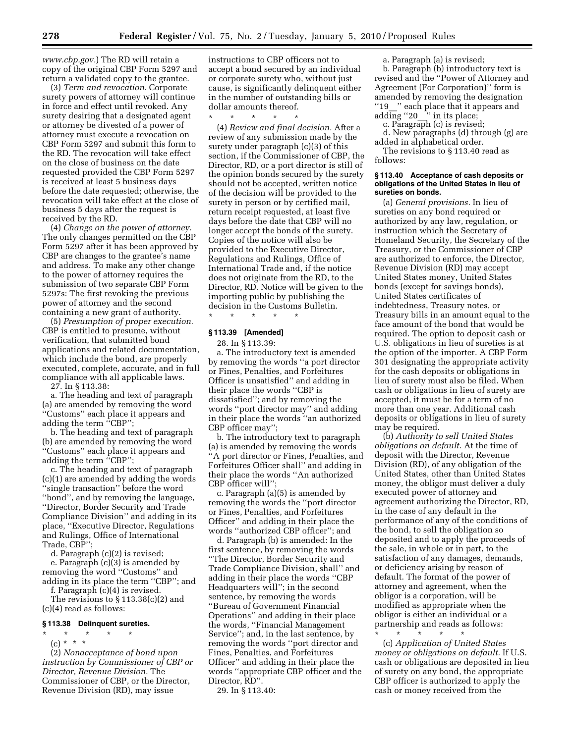*www.cbp.gov.*) The RD will retain a copy of the original CBP Form 5297 and return a validated copy to the grantee.

(3) *Term and revocation.* Corporate surety powers of attorney will continue in force and effect until revoked. Any surety desiring that a designated agent or attorney be divested of a power of attorney must execute a revocation on CBP Form 5297 and submit this form to the RD. The revocation will take effect on the close of business on the date requested provided the CBP Form 5297 is received at least 5 business days before the date requested; otherwise, the revocation will take effect at the close of business 5 days after the request is received by the RD.

(4) *Change on the power of attorney.*  The only changes permitted on the CBP Form 5297 after it has been approved by CBP are changes to the grantee's name and address. To make any other change to the power of attorney requires the submission of two separate CBP Form 5297s: The first revoking the previous power of attorney and the second containing a new grant of authority.

(5) *Presumption of proper execution.*  CBP is entitled to presume, without verification, that submitted bond applications and related documentation, which include the bond, are properly executed, complete, accurate, and in full compliance with all applicable laws.

27. In § 113.38:

a. The heading and text of paragraph (a) are amended by removing the word ''Customs'' each place it appears and adding the term ''CBP'';

b. The heading and text of paragraph (b) are amended by removing the word ''Customs'' each place it appears and adding the term "CBP";

c. The heading and text of paragraph (c)(1) are amended by adding the words ''single transaction'' before the word ''bond'', and by removing the language, ''Director, Border Security and Trade Compliance Division'' and adding in its place, ''Executive Director, Regulations and Rulings, Office of International Trade, CBP'';

d. Paragraph (c)(2) is revised;

e. Paragraph (c)(3) is amended by removing the word ''Customs'' and adding in its place the term ''CBP''; and

f. Paragraph (c)(4) is revised.

The revisions to § 113.38(c)(2) and (c)(4) read as follows:

### **§ 113.38 Delinquent sureties.**

\* \* \* \* \*

(c) \* \* \*

(2) *Nonacceptance of bond upon instruction by Commissioner of CBP or Director, Revenue Division.* The Commissioner of CBP, or the Director, Revenue Division (RD), may issue

instructions to CBP officers not to accept a bond secured by an individual or corporate surety who, without just cause, is significantly delinquent either in the number of outstanding bills or dollar amounts thereof.

\* \* \* \* \*

(4) *Review and final decision.* After a review of any submission made by the surety under paragraph (c)(3) of this section, if the Commissioner of CBP, the Director, RD, or a port director is still of the opinion bonds secured by the surety should not be accepted, written notice of the decision will be provided to the surety in person or by certified mail, return receipt requested, at least five days before the date that CBP will no longer accept the bonds of the surety. Copies of the notice will also be provided to the Executive Director, Regulations and Rulings, Office of International Trade and, if the notice does not originate from the RD, to the Director, RD. Notice will be given to the importing public by publishing the decision in the Customs Bulletin.

\* \* \* \* \*

# **§ 113.39 [Amended]**

28. In § 113.39:

a. The introductory text is amended by removing the words ''a port director or Fines, Penalties, and Forfeitures Officer is unsatisfied'' and adding in their place the words ''CBP is dissatisfied''; and by removing the words ''port director may'' and adding in their place the words ''an authorized CBP officer may'';

b. The introductory text to paragraph (a) is amended by removing the words 'A port director or Fines, Penalties, and Forfeitures Officer shall'' and adding in their place the words ''An authorized CBP officer will'';

c. Paragraph (a)(5) is amended by removing the words the ''port director or Fines, Penalties, and Forfeitures Officer'' and adding in their place the words ''authorized CBP officer''; and

d. Paragraph (b) is amended: In the first sentence, by removing the words ''The Director, Border Security and Trade Compliance Division, shall'' and adding in their place the words ''CBP Headquarters will''; in the second sentence, by removing the words ''Bureau of Government Financial Operations'' and adding in their place the words, ''Financial Management Service''; and, in the last sentence, by removing the words ''port director and Fines, Penalties, and Forfeitures Officer'' and adding in their place the words ''appropriate CBP officer and the Director, RD''.

29. In § 113.40:

a. Paragraph (a) is revised;

b. Paragraph (b) introductory text is revised and the ''Power of Attorney and Agreement (For Corporation)'' form is amended by removing the designation ''19\_\_'' each place that it appears and adding "20\_\_" in its place;

c. Paragraph (c) is revised;

d. New paragraphs (d) through (g) are added in alphabetical order.

The revisions to § 113.40 read as follows:

### **§ 113.40 Acceptance of cash deposits or obligations of the United States in lieu of sureties on bonds.**

(a) *General provisions.* In lieu of sureties on any bond required or authorized by any law, regulation, or instruction which the Secretary of Homeland Security, the Secretary of the Treasury, or the Commissioner of CBP are authorized to enforce, the Director, Revenue Division (RD) may accept United States money, United States bonds (except for savings bonds), United States certificates of indebtedness, Treasury notes, or Treasury bills in an amount equal to the face amount of the bond that would be required. The option to deposit cash or U.S. obligations in lieu of sureties is at the option of the importer. A CBP Form 301 designating the appropriate activity for the cash deposits or obligations in lieu of surety must also be filed. When cash or obligations in lieu of surety are accepted, it must be for a term of no more than one year. Additional cash deposits or obligations in lieu of surety may be required.

(b) *Authority to sell United States obligations on default.* At the time of deposit with the Director, Revenue Division (RD), of any obligation of the United States, other than United States money, the obligor must deliver a duly executed power of attorney and agreement authorizing the Director, RD, in the case of any default in the performance of any of the conditions of the bond, to sell the obligation so deposited and to apply the proceeds of the sale, in whole or in part, to the satisfaction of any damages, demands, or deficiency arising by reason of default. The format of the power of attorney and agreement, when the obligor is a corporation, will be modified as appropriate when the obligor is either an individual or a partnership and reads as follows: \* \* \* \* \*

(c) *Application of United States money or obligations on default.* If U.S. cash or obligations are deposited in lieu of surety on any bond, the appropriate CBP officer is authorized to apply the cash or money received from the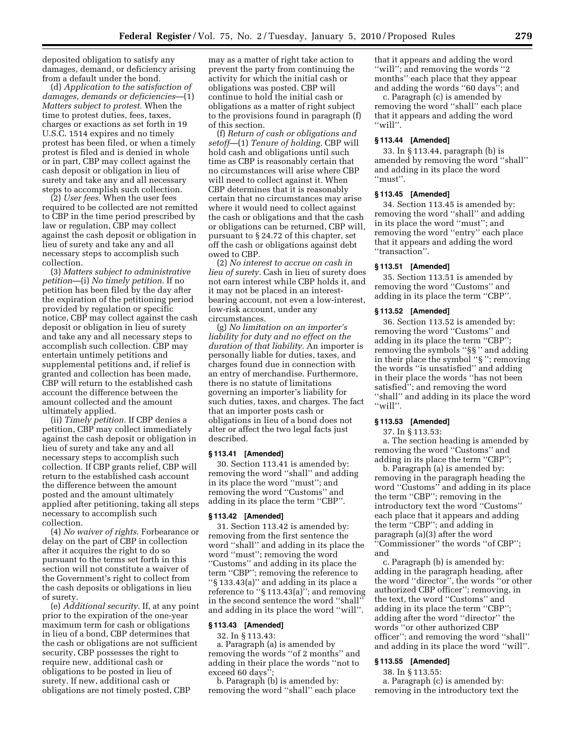deposited obligation to satisfy any damages, demand, or deficiency arising from a default under the bond.

(d) *Application to the satisfaction of damages, demands or deficiencies*—(1) *Matters subject to protest.* When the time to protest duties, fees, taxes, charges or exactions as set forth in 19 U.S.C. 1514 expires and no timely protest has been filed, or when a timely protest is filed and is denied in whole or in part, CBP may collect against the cash deposit or obligation in lieu of surety and take any and all necessary steps to accomplish such collection.

(2) *User fees.* When the user fees required to be collected are not remitted to CBP in the time period prescribed by law or regulation, CBP may collect against the cash deposit or obligation in lieu of surety and take any and all necessary steps to accomplish such collection.

(3) *Matters subject to administrative petition*—(i) *No timely petition.* If no petition has been filed by the day after the expiration of the petitioning period provided by regulation or specific notice, CBP may collect against the cash deposit or obligation in lieu of surety and take any and all necessary steps to accomplish such collection. CBP may entertain untimely petitions and supplemental petitions and, if relief is granted and collection has been made, CBP will return to the established cash account the difference between the amount collected and the amount ultimately applied.

(ii) *Timely petition.* If CBP denies a petition, CBP may collect immediately against the cash deposit or obligation in lieu of surety and take any and all necessary steps to accomplish such collection. If CBP grants relief, CBP will return to the established cash account the difference between the amount posted and the amount ultimately applied after petitioning, taking all steps necessary to accomplish such collection.

(4) *No waiver of rights.* Forbearance or delay on the part of CBP in collection after it acquires the right to do so pursuant to the terms set forth in this section will not constitute a waiver of the Government's right to collect from the cash deposits or obligations in lieu of surety.

(e) *Additional security.* If, at any point prior to the expiration of the one-year maximum term for cash or obligations in lieu of a bond, CBP determines that the cash or obligations are not sufficient security, CBP possesses the right to require new, additional cash or obligations to be posted in lieu of surety. If new, additional cash or obligations are not timely posted, CBP

may as a matter of right take action to prevent the party from continuing the activity for which the initial cash or obligations was posted. CBP will continue to hold the initial cash or obligations as a matter of right subject to the provisions found in paragraph (f) of this section.

(f) *Return of cash or obligations and setoff*—(1) *Tenure of holding.* CBP will hold cash and obligations until such time as CBP is reasonably certain that no circumstances will arise where CBP will need to collect against it. When CBP determines that it is reasonably certain that no circumstances may arise where it would need to collect against the cash or obligations and that the cash or obligations can be returned, CBP will, pursuant to § 24.72 of this chapter, set off the cash or obligations against debt owed to CBP.

(2) *No interest to accrue on cash in lieu of surety.* Cash in lieu of surety does not earn interest while CBP holds it, and it may not be placed in an interestbearing account, not even a low-interest, low-risk account, under any circumstances.

(g) *No limitation on an importer's liability for duty and no effect on the duration of that liability.* An importer is personally liable for duties, taxes, and charges found due in connection with an entry of merchandise. Furthermore, there is no statute of limitations governing an importer's liability for such duties, taxes, and charges. The fact that an importer posts cash or obligations in lieu of a bond does not alter or affect the two legal facts just described.

### **§ 113.41 [Amended]**

30. Section 113.41 is amended by: removing the word ''shall'' and adding in its place the word ''must''; and removing the word ''Customs'' and adding in its place the term ''CBP''.

#### **§ 113.42 [Amended]**

31. Section 113.42 is amended by: removing from the first sentence the word ''shall'' and adding in its place the word ''must''; removing the word ''Customs'' and adding in its place the term ''CBP''; removing the reference to ''§ 133.43(a)'' and adding in its place a reference to ''§ 113.43(a)''; and removing in the second sentence the word ''shall'' and adding in its place the word ''will''.

#### **§ 113.43 [Amended]**

32. In § 113.43: a. Paragraph (a) is amended by removing the words ''of 2 months'' and adding in their place the words ''not to exceed 60 days'

b. Paragraph (b) is amended by: removing the word ''shall'' each place that it appears and adding the word ''will''; and removing the words ''2 months'' each place that they appear and adding the words ''60 days''; and

c. Paragraph (c) is amended by removing the word ''shall'' each place that it appears and adding the word ''will''.

### **§ 113.44 [Amended]**

33. In § 113.44, paragraph (b) is amended by removing the word ''shall'' and adding in its place the word ''must''.

# **§ 113.45 [Amended]**

34. Section 113.45 is amended by: removing the word ''shall'' and adding in its place the word ''must''; and removing the word ''entry'' each place that it appears and adding the word ''transaction''.

# **§ 113.51 [Amended]**

35. Section 113.51 is amended by removing the word "Customs" and adding in its place the term ''CBP''.

#### **§ 113.52 [Amended]**

36. Section 113.52 is amended by: removing the word ''Customs'' and adding in its place the term ''CBP''; removing the symbols ''§§ '' and adding in their place the symbol ''§ ''; removing the words ''is unsatisfied'' and adding in their place the words ''has not been satisfied''; and removing the word ''shall'' and adding in its place the word ''will''.

# **§ 113.53 [Amended]**

37. In § 113.53:

a. The section heading is amended by removing the word ''Customs'' and adding in its place the term ''CBP'';

b. Paragraph (a) is amended by: removing in the paragraph heading the word ''Customs'' and adding in its place the term ''CBP''; removing in the introductory text the word ''Customs'' each place that it appears and adding the term ''CBP''; and adding in paragraph (a)(3) after the word ''Commissioner'' the words ''of CBP''; and

c. Paragraph (b) is amended by: adding in the paragraph heading, after the word ''director'', the words ''or other authorized CBP officer''; removing, in the text, the word ''Customs'' and adding in its place the term ''CBP''; adding after the word ''director'' the words ''or other authorized CBP officer''; and removing the word ''shall'' and adding in its place the word ''will''.

# **§ 113.55 [Amended]**

38. In § 113.55:

a. Paragraph (c) is amended by: removing in the introductory text the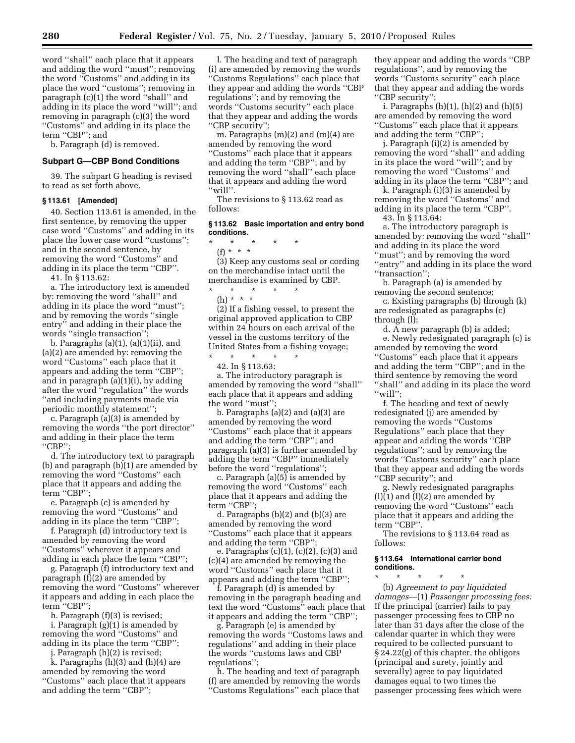word ''shall'' each place that it appears and adding the word ''must''; removing the word ''Customs'' and adding in its place the word ''customs''; removing in paragraph (c)(1) the word ''shall'' and adding in its place the word ''will''; and removing in paragraph (c)(3) the word ''Customs'' and adding in its place the term ''CBP''; and

b. Paragraph (d) is removed.

# **Subpart G—CBP Bond Conditions**

39. The subpart G heading is revised to read as set forth above.

# **§ 113.61 [Amended]**

40. Section 113.61 is amended, in the first sentence, by removing the upper case word ''Customs'' and adding in its place the lower case word ''customs''; and in the second sentence, by removing the word ''Customs'' and adding in its place the term ''CBP''.

41. In § 113.62:

a. The introductory text is amended by: removing the word ''shall'' and adding in its place the word ''must''; and by removing the words ''single entry'' and adding in their place the words ''single transaction'';

b. Paragraphs (a)(1), (a)(1)(ii), and (a)(2) are amended by: removing the word ''Customs'' each place that it appears and adding the term ''CBP''; and in paragraph (a)(1)(i), by adding after the word ''regulation'' the words ''and including payments made via periodic monthly statement'';

c. Paragraph (a)(3) is amended by removing the words ''the port director'' and adding in their place the term ''CBP'';

d. The introductory text to paragraph (b) and paragraph (b)(1) are amended by removing the word ''Customs'' each place that it appears and adding the term ''CBP'';

e. Paragraph (c) is amended by removing the word ''Customs'' and adding in its place the term ''CBP'';

f. Paragraph (d) introductory text is amended by removing the word ''Customs'' wherever it appears and

adding in each place the term ''CBP''; g. Paragraph (f) introductory text and paragraph (f)(2) are amended by removing the word ''Customs'' wherever it appears and adding in each place the term ''CBP'';

h. Paragraph (f)(3) is revised;

i. Paragraph (g)(1) is amended by removing the word ''Customs'' and adding in its place the term ''CBP'';

j. Paragraph (h)(2) is revised;

k. Paragraphs (h)(3) and (h)(4) are amended by removing the word ''Customs'' each place that it appears and adding the term ''CBP'';

l. The heading and text of paragraph (i) are amended by removing the words 'Customs Regulations'' each place that they appear and adding the words ''CBP regulations''; and by removing the words ''Customs security'' each place that they appear and adding the words ''CBP security'';

m. Paragraphs (m)(2) and (m)(4) are amended by removing the word ''Customs'' each place that it appears and adding the term ''CBP''; and by removing the word ''shall'' each place that it appears and adding the word ''will''.

The revisions to § 113.62 read as follows:

### **§ 113.62 Basic importation and entry bond conditions.**

\* \* \* \* \*

(f) \* \* \* (3) Keep any customs seal or cording on the merchandise intact until the merchandise is examined by CBP.

\* \* \* \* \*

(h) \* \* \* (2) If a fishing vessel, to present the original approved application to CBP within 24 hours on each arrival of the vessel in the customs territory of the United States from a fishing voyage;

\* \* \* \* \* 42. In § 113.63:

a. The introductory paragraph is amended by removing the word ''shall'' each place that it appears and adding the word ''must'';

b. Paragraphs (a)(2) and (a)(3) are amended by removing the word ''Customs'' each place that it appears and adding the term ''CBP''; and paragraph (a)(3) is further amended by adding the term ''CBP'' immediately before the word ''regulations'';

c. Paragraph (a)(5) is amended by removing the word ''Customs'' each place that it appears and adding the term "CBP";

d. Paragraphs (b)(2) and (b)(3) are amended by removing the word ''Customs'' each place that it appears and adding the term ''CBP'';

e. Paragraphs (c)(1), (c)(2), (c)(3) and (c)(4) are amended by removing the word ''Customs'' each place that it appears and adding the term ''CBP'';

f. Paragraph (d) is amended by removing in the paragraph heading and text the word ''Customs'' each place that it appears and adding the term ''CBP'';

g. Paragraph (e) is amended by removing the words ''Customs laws and regulations'' and adding in their place the words ''customs laws and CBP regulations'';

h. The heading and text of paragraph (f) are amended by removing the words ''Customs Regulations'' each place that

they appear and adding the words ''CBP regulations'', and by removing the words ''Customs security'' each place that they appear and adding the words ''CBP security'';

i. Paragraphs  $(h)(1)$ ,  $(h)(2)$  and  $(h)(5)$ are amended by removing the word ''Customs'' each place that it appears and adding the term "CBP";

j. Paragraph (i)(2) is amended by removing the word ''shall'' and adding in its place the word ''will''; and by removing the word ''Customs'' and adding in its place the term ''CBP''; and

k. Paragraph (i)(3) is amended by removing the word ''Customs'' and adding in its place the term ''CBP''.

43. In § 113.64:

a. The introductory paragraph is amended by: removing the word ''shall'' and adding in its place the word ''must''; and by removing the word ''entry'' and adding in its place the word ''transaction'';

b. Paragraph (a) is amended by removing the second sentence;

c. Existing paragraphs (b) through (k) are redesignated as paragraphs (c) through (l);

d. A new paragraph (b) is added; e. Newly redesignated paragraph (c) is amended by removing the word ''Customs'' each place that it appears and adding the term ''CBP''; and in the third sentence by removing the word "shall" and adding in its place the word ''will'';

f. The heading and text of newly redesignated (j) are amended by removing the words ''Customs Regulations'' each place that they appear and adding the words ''CBP regulations''; and by removing the words ''Customs security'' each place that they appear and adding the words ''CBP security''; and

g. Newly redesignated paragraphs  $(l)(1)$  and  $(l)(2)$  are amended by removing the word ''Customs'' each place that it appears and adding the term ''CBP''.

The revisions to § 113.64 read as follows:

### **§ 113.64 International carrier bond conditions.**

\* \* \* \* \* (b) *Agreement to pay liquidated damages*—(1) *Passenger processing fees:*  If the principal (carrier) fails to pay passenger processing fees to CBP no later than 31 days after the close of the calendar quarter in which they were required to be collected pursuant to § 24.22(g) of this chapter, the obligors (principal and surety, jointly and severally) agree to pay liquidated damages equal to two times the passenger processing fees which were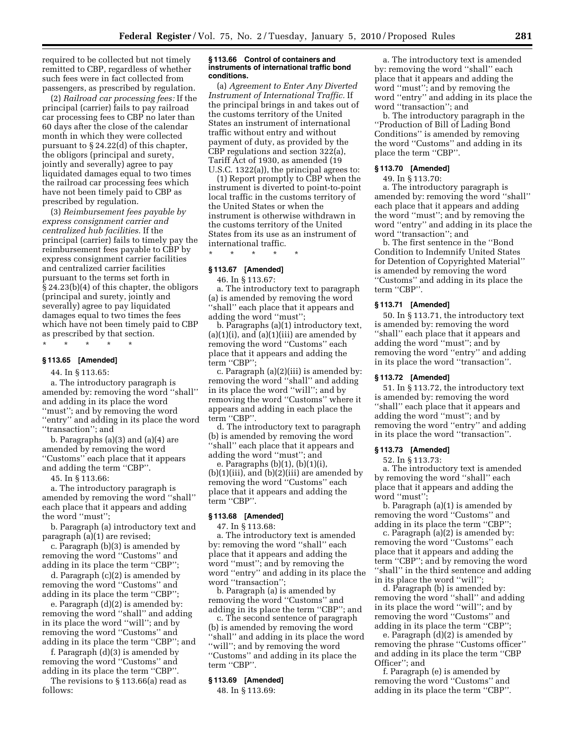required to be collected but not timely remitted to CBP, regardless of whether such fees were in fact collected from passengers, as prescribed by regulation.

(2) *Railroad car processing fees:* If the principal (carrier) fails to pay railroad car processing fees to CBP no later than 60 days after the close of the calendar month in which they were collected pursuant to § 24.22(d) of this chapter, the obligors (principal and surety, jointly and severally) agree to pay liquidated damages equal to two times the railroad car processing fees which have not been timely paid to CBP as prescribed by regulation.

(3) *Reimbursement fees payable by express consignment carrier and centralized hub facilities.* If the principal (carrier) fails to timely pay the reimbursement fees payable to CBP by express consignment carrier facilities and centralized carrier facilities pursuant to the terms set forth in § 24.23(b)(4) of this chapter, the obligors (principal and surety, jointly and severally) agree to pay liquidated damages equal to two times the fees which have not been timely paid to CBP as prescribed by that section.

\* \* \* \* \*

# **§ 113.65 [Amended]**

44. In § 113.65:

a. The introductory paragraph is amended by: removing the word ''shall'' and adding in its place the word ''must''; and by removing the word ''entry'' and adding in its place the word ''transaction''; and

b. Paragraphs (a)(3) and (a)(4) are amended by removing the word ''Customs'' each place that it appears and adding the term ''CBP''.

45. In § 113.66:

a. The introductory paragraph is amended by removing the word ''shall'' each place that it appears and adding the word ''must'';

b. Paragraph (a) introductory text and paragraph (a)(1) are revised;

c. Paragraph (b)(3) is amended by removing the word ''Customs'' and adding in its place the term ''CBP'';

d. Paragraph (c)(2) is amended by removing the word ''Customs'' and adding in its place the term ''CBP'';

e. Paragraph (d)(2) is amended by: removing the word ''shall'' and adding in its place the word ''will''; and by removing the word "Customs" and adding in its place the term ''CBP''; and

f. Paragraph (d)(3) is amended by removing the word ''Customs'' and adding in its place the term ''CBP''.

The revisions to § 113.66(a) read as follows:

# **§ 113.66 Control of containers and instruments of international traffic bond conditions.**

(a) *Agreement to Enter Any Diverted Instrument of International Traffic.* If the principal brings in and takes out of the customs territory of the United States an instrument of international traffic without entry and without payment of duty, as provided by the CBP regulations and section 322(a), Tariff Act of 1930, as amended (19 U.S.C. 1322(a)), the principal agrees to:

(1) Report promptly to CBP when the instrument is diverted to point-to-point local traffic in the customs territory of the United States or when the instrument is otherwise withdrawn in the customs territory of the United States from its use as an instrument of international traffic.

\* \* \* \* \*

# **§ 113.67 [Amended]**

46. In § 113.67:

a. The introductory text to paragraph (a) is amended by removing the word "shall" each place that it appears and adding the word "must"

b. Paragraphs (a)(1) introductory text,  $(a)(1)(i)$ , and  $(a)(1)(iii)$  are amended by removing the word ''Customs'' each place that it appears and adding the term ''CBP'';

c. Paragraph (a)(2)(iii) is amended by: removing the word ''shall'' and adding in its place the word ''will''; and by removing the word ''Customs'' where it appears and adding in each place the term "CBP".

d. The introductory text to paragraph (b) is amended by removing the word ''shall'' each place that it appears and adding the word ''must''; and

e. Paragraphs (b)(1), (b)(1)(i),  $(b)(1)(iii)$ , and  $(b)(2)(iii)$  are amended by removing the word ''Customs'' each place that it appears and adding the term ''CBP''.

# **§ 113.68 [Amended]**

47. In § 113.68:

a. The introductory text is amended by: removing the word ''shall'' each place that it appears and adding the word ''must''; and by removing the word ''entry'' and adding in its place the word ''transaction'';

b. Paragraph (a) is amended by removing the word ''Customs'' and adding in its place the term ''CBP''; and

c. The second sentence of paragraph (b) is amended by removing the word ''shall'' and adding in its place the word ''will''; and by removing the word ''Customs'' and adding in its place the term ''CBP''.

### **§ 113.69 [Amended]**

48. In § 113.69:

a. The introductory text is amended by: removing the word ''shall'' each place that it appears and adding the word ''must''; and by removing the word ''entry'' and adding in its place the word ''transaction''; and

b. The introductory paragraph in the ''Production of Bill of Lading Bond Conditions'' is amended by removing the word ''Customs'' and adding in its place the term ''CBP''.

# **§ 113.70 [Amended]**

49. In § 113.70:

a. The introductory paragraph is amended by: removing the word ''shall'' each place that it appears and adding the word ''must''; and by removing the word ''entry'' and adding in its place the word ''transaction''; and

b. The first sentence in the ''Bond Condition to Indemnify United States for Detention of Copyrighted Material'' is amended by removing the word ''Customs'' and adding in its place the term ''CBP''.

# **§ 113.71 [Amended]**

50. In § 113.71, the introductory text is amended by: removing the word ''shall'' each place that it appears and adding the word ''must''; and by removing the word ''entry'' and adding in its place the word ''transaction''.

# **§ 113.72 [Amended]**

51. In § 113.72, the introductory text is amended by: removing the word ''shall'' each place that it appears and adding the word ''must''; and by removing the word ''entry'' and adding in its place the word ''transaction''.

#### **§ 113.73 [Amended]**

52. In § 113.73:

a. The introductory text is amended by removing the word ''shall'' each place that it appears and adding the word "must"

b. Paragraph (a)(1) is amended by removing the word ''Customs'' and adding in its place the term ''CBP'';

c. Paragraph (a)(2) is amended by: removing the word ''Customs'' each place that it appears and adding the term ''CBP''; and by removing the word ''shall'' in the third sentence and adding in its place the word ''will'';

d. Paragraph (b) is amended by: removing the word ''shall'' and adding in its place the word ''will''; and by removing the word ''Customs'' and adding in its place the term ''CBP'';

e. Paragraph (d)(2) is amended by removing the phrase ''Customs officer'' and adding in its place the term ''CBP Officer''; and

f. Paragraph (e) is amended by removing the word ''Customs'' and adding in its place the term ''CBP''.